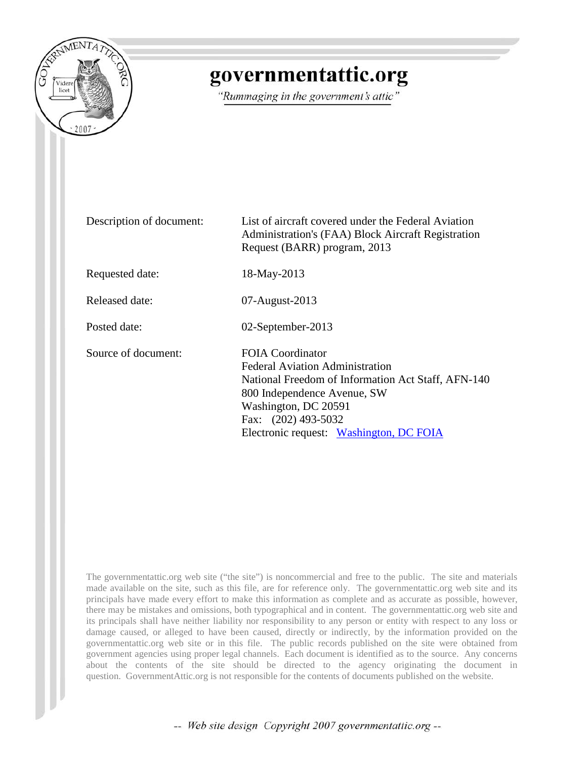

## governmentattic.org

"Rummaging in the government's attic"

Description of document: List of aircraft covered under the Federal Aviation Administration's (FAA) Block Aircraft Registration Request (BARR) program, 2013 Requested date: 18-May-2013 Released date: 07-August-2013 Posted date: 02-September-2013 Source of document: FOIA Coordinator Federal Aviation Administration National Freedom of Information Act Staff, AFN-140 800 Independence Avenue, SW Washington, DC 20591 Fax: (202) 493-5032 Electronic request: [Washington, DC FOIA](http://www.faa.gov/foia/email_foia/index.cfm?region=hq)

The governmentattic.org web site ("the site") is noncommercial and free to the public. The site and materials made available on the site, such as this file, are for reference only. The governmentattic.org web site and its principals have made every effort to make this information as complete and as accurate as possible, however, there may be mistakes and omissions, both typographical and in content. The governmentattic.org web site and its principals shall have neither liability nor responsibility to any person or entity with respect to any loss or damage caused, or alleged to have been caused, directly or indirectly, by the information provided on the governmentattic.org web site or in this file. The public records published on the site were obtained from government agencies using proper legal channels. Each document is identified as to the source. Any concerns about the contents of the site should be directed to the agency originating the document in question. GovernmentAttic.org is not responsible for the contents of documents published on the website.

-- Web site design Copyright 2007 governmentattic.org --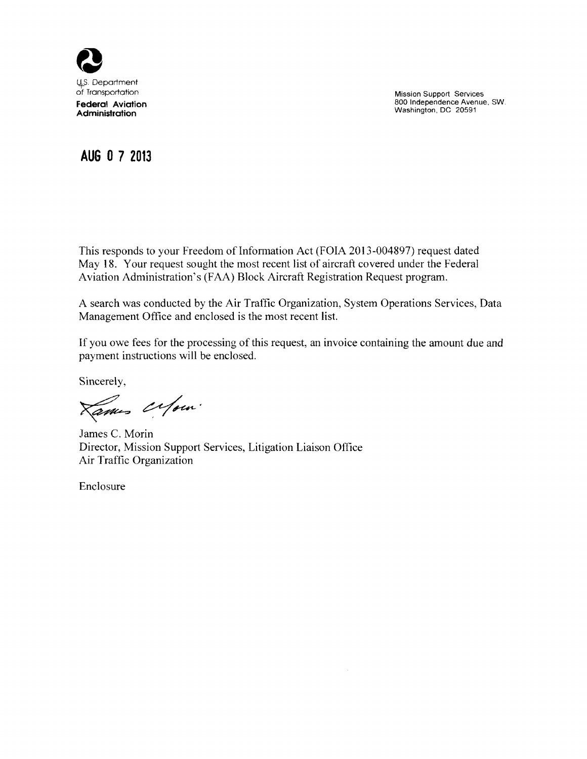

Mission Support Services 800 Independence Avenue, SW. Washington, DC 20591

## **AUG 0 7 2013**

This responds to your Freedom of Information Act (FOIA 2013-004897) request dated May 18. Your request sought the most recent list of aircraft covered under the Federal Aviation Administration's (FAA) Block Aircraft Registration Request program.

A search was conducted by the Air Traffic Organization, System Operations Services, Data Management Office and enclosed is the most recent list.

If you owe fees for the processing of this request, an invoice containing the amount due and payment instructions will be enclosed.

Sincerely,

Lames Orfom.

James C. Morin Director, Mission Support Services, Litigation Liaison Office Air Traffic Organization

Enclosure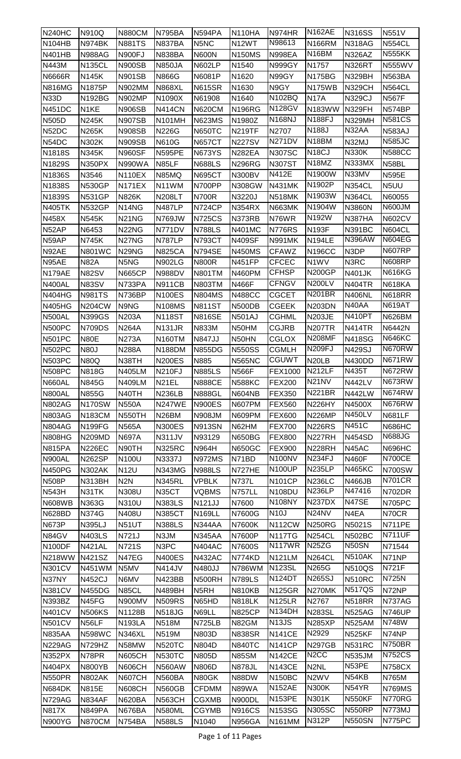| <b>N240HC</b>           | N910Q             | <b>N880CM</b>                  | <b>N795BA</b>      | <b>N594PA</b>                | N110HA                  | N974HR                              | <b>N162AE</b>                      | <b>N316SS</b>          | N551V                          |
|-------------------------|-------------------|--------------------------------|--------------------|------------------------------|-------------------------|-------------------------------------|------------------------------------|------------------------|--------------------------------|
| <b>N104HB</b>           | <b>N974BK</b>     | <b>N881TS</b>                  | <b>N837BA</b>      | N5NC                         | N <sub>12</sub> WT      | N98613                              | <b>N166RM</b>                      | <b>N318AG</b>          | <b>N554CL</b>                  |
| <b>N401HB</b>           | <b>N988AG</b>     | <b>N900FJ</b>                  | <b>N838BA</b>      | <b>N600N</b>                 | <b>N150MS</b>           | <b>N998EA</b>                       | N16BM                              | <b>N326AZ</b>          | <b>N555KK</b>                  |
| N443M                   | <b>N135CL</b>     | <b>N900SB</b>                  | <b>N850JA</b>      | <b>N602LP</b>                | N1540                   | <b>N999GY</b>                       | N1757                              | <b>N326RT</b>          | <b>N555WV</b>                  |
| <b>N6666R</b>           | <b>N145K</b>      | <b>N901SB</b>                  | <b>N866G</b>       | N6081P                       | N1620                   | N99GY                               | <b>N175BG</b>                      | <b>N329BH</b>          | <b>N563BA</b>                  |
| <b>N816MG</b>           | N1875P            | N902MM                         | <b>N868XL</b>      | <b>N615SR</b>                | N1630                   | N9GY                                | <b>N175WB</b>                      | <b>N329CH</b>          | <b>N564CL</b>                  |
| <b>N33D</b>             | <b>N192BG</b>     | <b>N902MP</b>                  | N1090X             | N61908                       | N1640                   | N102BQ                              | <b>N17A</b>                        | <b>N329CJ</b>          | <b>N567F</b>                   |
| <b>N451DC</b>           | N <sub>1</sub> KE | <b>N906SB</b>                  | <b>N414CN</b>      | <b>N620CM</b>                | <b>N196RG</b>           | <b>N128GV</b>                       | <b>N183WW</b>                      | N329FH                 | N574BP                         |
| <b>N505D</b>            | <b>N245K</b>      | <b>N907SB</b>                  | <b>N101MH</b>      | <b>N623MS</b>                | N1980Z                  | <b>N168NJ</b>                       | <b>N188FJ</b>                      | N329MH                 | <b>N581CS</b>                  |
| N52DC                   | N265K             | <b>N908SB</b>                  | <b>N226G</b>       | <b>N650TC</b>                | <b>N219TF</b>           | N2707                               | N188J                              | N32AA                  | <b>N583AJ</b>                  |
| N54DC                   | N302K             | <b>N909SB</b>                  | <b>N610G</b>       | <b>N657CT</b>                | <b>N227SV</b>           | <b>N271DV</b>                       | N18BM                              | N32MJ                  | <b>N585JC</b>                  |
| N1818S                  | <b>N345K</b>      | <b>N960SF</b>                  | <b>N595PE</b>      | <b>N673YS</b>                | <b>N282EA</b>           | <b>N307SC</b>                       | N <sub>18</sub> CJ                 | <b>N330K</b>           | <b>N588CC</b>                  |
| N1829S                  | <b>N350PX</b>     | <b>N990WA</b>                  | N85LF              | <b>N688LS</b>                | <b>N296RG</b>           | <b>N307ST</b>                       | $\overline{N}$ 18MZ                | <b>N333MX</b>          | N58BL                          |
| N1836S                  | N3546             | <b>N110EX</b>                  | N85MQ              | <b>N695CT</b>                | <b>N300BV</b>           | N412E                               | N1900W                             | N33MV                  | <b>N595E</b>                   |
| N1838S                  | <b>N530GP</b>     | <b>N171EX</b>                  | N11WM              | N700PP                       | N308GW                  | <b>N431MK</b>                       | N1902P                             | <b>N354CL</b>          | N5UU                           |
| N1839S                  | <b>N531GP</b>     | <b>N826K</b>                   | <b>N208LT</b>      | <b>N700R</b>                 | N3220J                  | <b>N518MK</b>                       | N1903W                             | <b>N364CL</b>          | N60055                         |
| <b>N405TK</b>           | <b>N532GP</b>     | N14NG                          | <b>N487LP</b>      | <b>N724CP</b>                | <b>N354RX</b>           | <b>N663MK</b>                       | N1904W                             | N3860N                 | N600JM                         |
| <b>N458X</b>            | <b>N545K</b>      | <b>N21NG</b>                   | <b>N769JW</b>      | <b>N725CS</b>                | N373RB                  | N76WR                               | N192W                              | <b>N387HA</b>          | <b>N602CV</b>                  |
| N52AP                   | N6453             | N22NG                          | N771DV             | <b>N788LS</b>                | <b>N401MC</b>           | <b>N776RS</b>                       | <b>N193F</b>                       | <b>N391BC</b>          | <b>N604CL</b>                  |
| N59AP                   | <b>N745K</b>      | N27NG                          | <b>N787LP</b>      | <b>N793CT</b>                | <b>N409SF</b>           | <b>N991MK</b>                       | <b>N194LE</b>                      | <b>N396AW</b>          | <b>N604EG</b>                  |
| N92AE                   | <b>N801WC</b>     | N <sub>29</sub> N <sub>G</sub> | <b>N825CA</b>      | <b>N794SE</b>                | <b>N450MS</b>           | <b>CFAWZ</b>                        | <b>N196CC</b>                      | N3DP                   | <b>N607RP</b>                  |
| N95AE                   | <b>N82A</b>       | N5NG                           | <b>N902LG</b>      | <b>N800R</b>                 | <b>N451FP</b>           | CFCEC                               | N1WV                               | N3RC                   | <b>N608RP</b>                  |
| <b>N179AE</b>           | <b>N82SV</b>      | <b>N665CP</b>                  | <b>N988DV</b>      | <b>N801TM</b>                | N460PM                  | <b>CFHSP</b>                        | <b>N200GP</b>                      | <b>N401JK</b>          | <b>N616KG</b>                  |
| <b>N400AL</b>           | <b>N83SV</b>      | N733PA                         | <b>N911CB</b>      | <b>N803TM</b>                | <b>N466F</b>            | <b>CFNGV</b>                        | <b>N200LV</b>                      | <b>N404TR</b>          | <b>N618KA</b>                  |
| <b>N404HG</b>           | <b>N981TS</b>     | <b>N736BP</b>                  | <b>N100ES</b>      | <b>N804MS</b>                | <b>N488CC</b>           | <b>CGCET</b>                        | N201BR                             | <b>N406NL</b>          | <b>N618RR</b>                  |
| <b>N405HG</b>           | <b>N204CW</b>     | N9NG                           | <b>N108MS</b>      | <b>N811ST</b>                | N500DB                  | <b>CGEEK</b>                        | <b>N203DN</b>                      | N40AA                  | <b>N619AT</b>                  |
| <b>N500AL</b>           | <b>N399GS</b>     | <b>N203A</b>                   | <b>N118ST</b>      | <b>N816SE</b>                | <b>N501AJ</b>           | <b>CGHML</b>                        | <b>N203JE</b>                      | <b>N410PT</b>          | <b>N626BM</b>                  |
| N500PC                  | <b>N709DS</b>     | <b>N264A</b>                   | <b>N131JR</b>      | N833M                        | N50HM                   | <b>CGJRB</b>                        | <b>N207TR</b>                      | <b>N414TR</b>          | N6442N                         |
| <b>N501PC</b>           | <b>N80E</b>       | <b>N273A</b>                   | <b>N160TM</b>      | <b>N847JJ</b>                | N50HN                   | <b>CGLOX</b>                        | <b>N208MF</b>                      | <b>N418SG</b>          | <b>N646KC</b>                  |
| <b>N502PC</b>           | <b>N80J</b>       | N288A                          | <b>N188DM</b>      | <b>N855DG</b>                | <b>N550SS</b>           | <b>CGMLH</b>                        | <b>N209FJ</b>                      | <b>N429SJ</b>          | N670RW                         |
| <b>N503PC</b>           | <b>N80Q</b>       | N38TH                          | <b>N200ES</b>      | N885                         | <b>N565NC</b>           | <b>CGUWT</b>                        | N <sub>20</sub> LB                 | <b>N430DD</b>          | <b>N671RW</b>                  |
| N508PC                  | <b>N818G</b>      | <b>N405LM</b>                  | <b>N210FJ</b>      | <b>N885LS</b>                | <b>N566F</b>            | <b>FEX1000</b>                      | <b>N212LF</b>                      | N435T                  | <b>N672RW</b>                  |
| N660AL                  | N845G             | <b>N409LM</b>                  | N <sub>21</sub> EL | <b>N888CE</b>                | <b>N588KC</b>           | <b>FEX200</b>                       | N21NV                              | <b>N442LV</b>          | N673RW                         |
| <b>N800AL</b>           | N855G             | N40TH                          | <b>N236LB</b>      | <b>N888GL</b>                | <b>N604NB</b>           | <b>FEX350</b>                       | <b>N221BR</b>                      | <b>N442LW</b>          | N674RW                         |
| <b>N802AG</b>           | <b>N170SW</b>     | <b>N550A</b>                   | <b>N247WE</b>      | <b>N900ES</b>                | <b>N607PM</b>           | <b>FEX560</b>                       | <b>N226HY</b>                      | N4500X                 | N676RW                         |
| <b>N803AG</b>           | <b>N183CM</b>     | <b>N550TH</b>                  | N <sub>26</sub> BM | <b>N908JM</b>                | <b>N609PM</b>           | <b>FEX600</b>                       | <b>N226MP</b>                      | <b>N450LV</b>          | <b>N681LF</b>                  |
| <b>N804AG</b>           | <b>N199FG</b>     | N565A                          | <b>N300ES</b>      | <b>N913SN</b>                | N62HM                   | <b>FEX700</b>                       | <b>N226RS</b>                      | N451C                  | <b>N686HC</b>                  |
| <b>N808HG</b>           | <b>N209MD</b>     | <b>N697A</b>                   | <b>N311JV</b>      | N93129                       | <b>N650BG</b>           | <b>FEX800</b>                       | N227RH                             | <b>N454SD</b>          | <b>N688JG</b>                  |
| <b>N815PA</b>           | <b>N226EC</b>     | N90TH                          | <b>N325RC</b>      | N964H                        | <b>N650GC</b>           | <b>FEX900</b>                       | N228RH                             | N45AC                  | <b>N696HC</b>                  |
| N900AL                  | <b>N262SP</b>     | N100U                          | N3337J             | <b>N972MS</b>                | N71BD                   | N100NV                              | <b>N234FJ</b>                      | <b>N460F</b>           | <b>N700CE</b>                  |
| <b>N450PG</b>           | <b>N302AK</b>     | <b>N12U</b>                    | <b>N343MG</b>      | <b>N988LS</b>                | N727HE                  | <b>N100UP</b>                       | <b>N235LP</b>                      | <b>N465KC</b>          | <b>N700SW</b>                  |
| <b>N508P</b>            | <b>N313BH</b>     | N <sub>2</sub> N               | <b>N345RL</b>      | <b>VPBLK</b>                 | N737L                   | <b>N101CP</b>                       | <b>N236LC</b>                      | <b>N466JB</b>          | <b>N701CR</b>                  |
| <b>N543H</b>            | N31TK             | N308U                          | N35CT              | <b>VQBMS</b>                 | <b>N757LL</b>           | <b>N108DU</b>                       | <b>N236LP</b>                      | N47416                 | <b>N702DR</b>                  |
| <b>N608WB</b>           | N363G             | N310U                          | <b>N383LS</b>      | N121JJ                       | N7600                   | <b>N108NY</b>                       | N237DX                             | N47SE                  | <b>N705PC</b>                  |
| <b>N628BD</b>           | <b>N374G</b>      | N408U                          | <b>N385CT</b>      | <b>N169LL</b>                | N7600G                  | <b>N10J</b>                         | N <sub>24</sub> N <sub>V</sub>     | N4EA                   | N70CR                          |
| <b>N673P</b>            | N395LJ            | <b>N51UT</b>                   | <b>N388LS</b>      | <b>N344AA</b>                | N7600K                  | <b>N112CW</b>                       | <b>N250RG</b>                      | N5021S                 | <b>N711PE</b>                  |
| N84GV                   | <b>N403LS</b>     | N721J                          | N3JM               | <b>N345AA</b>                | N7600P                  | <b>N117TG</b>                       | <b>N254CL</b>                      | <b>N502BC</b>          | <b>N711UF</b>                  |
| <b>N100DF</b>           | <b>N421AL</b>     | N721S                          | N <sub>3</sub> PC  | <b>N404AC</b>                | N7600S                  | N117WR                              | N <sub>25</sub> ZG                 | N50SN                  | N71544                         |
| <b>N218WW</b>           | <b>N421SZ</b>     | N47EG                          | <b>N400ES</b>      | <b>N432AC</b>                | N774KD                  | <b>N121LM</b>                       | <b>N264CL</b>                      | <b>N510AK</b>          | N71NP                          |
| <b>N301CV</b>           | N451WM            | N5MV                           | <b>N414JV</b>      | N480JJ                       | N786WM                  | <b>N123SL</b>                       | <b>N265G</b>                       | <b>N510QS</b>          | <b>N721F</b>                   |
| N37NY                   | <b>N452CJ</b>     | N6MV                           | <b>N423BB</b>      | N500RH                       | <b>N789LS</b>           | <b>N124DT</b>                       | <b>N265SJ</b>                      | <b>N510RC</b>          | N725N                          |
| <b>N381CV</b>           | <b>N455DG</b>     | N85CL                          | <b>N489BH</b>      | N <sub>5</sub> RH            | <b>N810KB</b>           | <b>N125GR</b>                       | N270MK                             | <b>N517QS</b>          | N72NP                          |
| <b>N393BZ</b>           | N45FG             | <b>N900MV</b>                  | <b>N509RS</b>      | N65HD                        | <b>N818LK</b>           | <b>N125LR</b>                       | N2767                              | <b>N518RR</b>          | <b>N737AG</b>                  |
| <b>N401CV</b>           | <b>N506KS</b>     | N1128B                         | <b>N518JG</b>      | N69LL                        | <b>N825CP</b>           | <b>N134DH</b><br>N <sub>13</sub> JS | <b>N283SL</b>                      | <b>N525AG</b>          | <b>N746UP</b>                  |
| <b>N501CV</b>           | N56LF             | <b>N193LA</b>                  | <b>N518M</b>       | <b>N725LB</b>                | N82GM                   |                                     | <b>N285XP</b>                      | <b>N525AM</b>          | N748W                          |
| <b>N835AA</b>           | <b>N598WC</b>     | <b>N346XL</b>                  | <b>N519M</b>       | N803D                        | <b>N838SR</b>           | <b>N141CE</b>                       | N2929                              | N525KF                 | N74NP                          |
| <b>N229AG</b>           | N729HZ            | N58MW                          | <b>N520TC</b>      | <b>N804D</b>                 | <b>N840TC</b>           | <b>N141CP</b>                       | <b>N297GB</b><br>N <sub>2</sub> CC | <b>N531RC</b>          | <b>N750BR</b><br><b>N752CS</b> |
| <b>N352PX</b>           | N78PR             | <b>N605CH</b>                  | <b>N530TC</b>      | N805D                        | <b>N85SM</b>            | <b>N142CE</b>                       |                                    | <b>N535JM</b><br>N53PE |                                |
| <b>N404PX</b>           | <b>N800YB</b>     | <b>N606CH</b>                  | <b>N560AW</b>      | <b>N806D</b>                 | <b>N878JL</b>           | <b>N143CE</b>                       | N <sub>2</sub> NL                  | N54KB                  | <b>N758CX</b>                  |
| <b>N550PR</b>           | <b>N802AK</b>     | <b>N607CH</b>                  | <b>N560BA</b>      | N80GK                        | N88DW                   | <b>N150BC</b><br><b>N152AE</b>      | N2WV<br><b>N300K</b>               | N54YR                  | N765M                          |
| N684DK<br><b>N729AG</b> | <b>N815E</b>      | <b>N608CH</b>                  | <b>N560GB</b>      | <b>CFDMM</b>                 | N89WA                   | <b>N153PE</b>                       | N301K                              | <b>N550KF</b>          | <b>N769MS</b><br><b>N770RG</b> |
| <b>N817X</b>            | N834AF            | <b>N620BA</b>                  | <b>N563CH</b>      | <b>CGXMB</b><br><b>CGYMB</b> | N900DL<br><b>N916CS</b> | <b>N153SG</b>                       | <b>N305SC</b>                      | <b>N550RP</b>          | N773MJ                         |
|                         | <b>N849PA</b>     | N676BA                         | <b>N580ML</b>      |                              | <b>N956GA</b>           |                                     | N312P                              | <b>N550SN</b>          | N775PC                         |
| <b>N900YG</b>           | <b>N870CM</b>     | N754BA                         | <b>N588LS</b>      | N1040                        |                         | <b>N161MM</b>                       |                                    |                        |                                |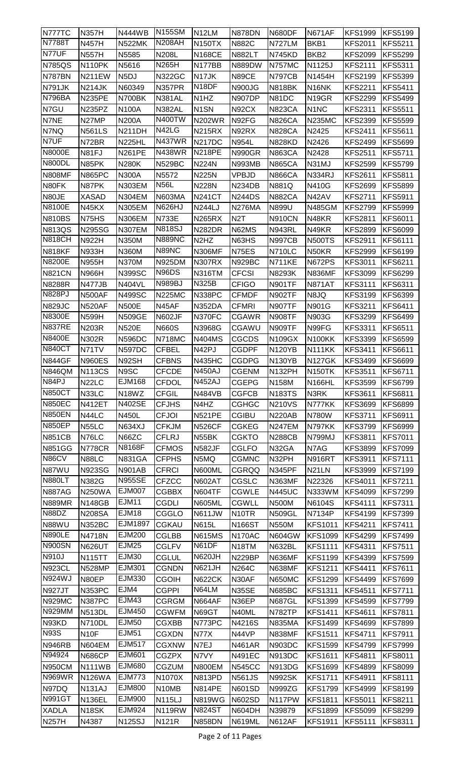| N777TC        | <b>N357H</b>       | <b>N444WB</b>      | N <sub>155</sub> SM | N12LM                         | <b>N878DN</b>       | N680DF             | <b>N671AF</b>                 | <b>KFS1999</b> | <b>KFS5199</b> |
|---------------|--------------------|--------------------|---------------------|-------------------------------|---------------------|--------------------|-------------------------------|----------------|----------------|
| <b>N7788T</b> | <b>N457H</b>       | <b>N522MK</b>      | <b>N208AH</b>       | <b>N150TX</b>                 | <b>N882C</b>        | <b>N727LM</b>      | BKB1                          | <b>KFS2011</b> | <b>KFS5211</b> |
| N77UF         | <b>N557H</b>       | N5585              | <b>N208L</b>        | <b>N168CE</b>                 | <b>N882LT</b>       | <b>N745KD</b>      | BKB <sub>2</sub>              | <b>KFS2099</b> | <b>KFS5299</b> |
| <b>N785QS</b> | <b>N110PK</b>      | N5616              | N265H               | N177BB                        | <b>N889DW</b>       | <b>N757MC</b>      | N1125J                        | <b>KFS2111</b> | <b>KFS5311</b> |
| N787BN        | <b>N211EW</b>      | N <sub>5</sub> DJ  | <b>N322GC</b>       | N17JK                         | N89CE               | <b>N797CB</b>      | N1454H                        | <b>KFS2199</b> | <b>KFS5399</b> |
| <b>N791JK</b> | <b>N214JK</b>      | N60349             | <b>N357PR</b>       | N <sub>18</sub> DF            | <b>N900JG</b>       | <b>N818BK</b>      | N <sub>16</sub> NK            | <b>KFS2211</b> | <b>KFS5411</b> |
| <b>N796BA</b> | <b>N235PE</b>      | N700BK             | <b>N381AL</b>       | N <sub>1</sub> H <sub>Z</sub> | <b>N907DP</b>       | N81DC              | N <sub>19</sub> GR            | <b>KFS2299</b> | <b>KFS5499</b> |
| N7GU          | N235PZ             | <b>N100A</b>       | <b>N382AL</b>       | N <sub>1</sub> SN             | N92CX               | <b>N823CA</b>      | N <sub>1</sub> N <sub>C</sub> | <b>KFS2311</b> | <b>KFS5511</b> |
| N7NE          | N27MP              | <b>N200A</b>       | <b>N400TW</b>       | <b>N202WR</b>                 | N92FG               | <b>N826CA</b>      | <b>N235MC</b>                 | <b>KFS2399</b> | <b>KFS5599</b> |
| N7NQ          | <b>N561LS</b>      | <b>N211DH</b>      | N42LG               | <b>N215RX</b>                 | N92RX               | <b>N828CA</b>      | N2425                         | <b>KFS2411</b> | <b>KFS5611</b> |
| N7UF          | N72BR              | <b>N225HL</b>      | <b>N437WR</b>       | <b>N217DC</b>                 | N954L               | <b>N828KD</b>      | N2426                         | <b>KFS2499</b> | <b>KFS5699</b> |
| <b>N8000E</b> | N81FJ              | <b>N261PE</b>      | <b>N438WR</b>       | <b>N218PE</b>                 | <b>N990GR</b>       | <b>N863CA</b>      | N2428                         | <b>KFS2511</b> | <b>KFS5711</b> |
| N800DL        | N85PK              | <b>N280K</b>       | <b>N529BC</b>       | <b>N224N</b>                  | <b>N993MB</b>       | <b>N865CA</b>      | N31MJ                         | <b>KFS2599</b> | <b>KFS5799</b> |
| <b>N808MF</b> | <b>N865PC</b>      | <b>N300A</b>       | N5572               | <b>N225N</b>                  | <b>VPBJD</b>        | <b>N866CA</b>      | <b>N334RJ</b>                 | <b>KFS2611</b> | <b>KFS5811</b> |
| N80FK         | N87PK              | N303EM             | <b>N56L</b>         | <b>N228N</b>                  | N <sub>234</sub> DB | N881Q              | N410G                         | <b>KFS2699</b> | <b>KFS5899</b> |
| N80JE         | <b>XASAD</b>       | <b>N304EM</b>      | <b>N603MA</b>       | <b>N241CT</b>                 | <b>N244DS</b>       | <b>N882CA</b>      | N42AV                         | <b>KFS2711</b> | <b>KFS5911</b> |
| <b>N8100E</b> | N45KX              | <b>N305EM</b>      | <b>N626HJ</b>       | <b>N244LJ</b>                 | <b>N276MA</b>       | N899U              | <b>N485GM</b>                 | <b>KFS2799</b> | <b>KFS5999</b> |
| <b>N810BS</b> | N75HS              | <b>N306EM</b>      | <b>N733E</b>        | <b>N265RX</b>                 | N <sub>2</sub> T    | <b>N910CN</b>      | N48KR                         | <b>KFS2811</b> | <b>KFS6011</b> |
| <b>N813QS</b> | <b>N295SG</b>      | <b>N307EM</b>      | <b>N818SJ</b>       | <b>N282DR</b>                 | N62MS               | <b>N943RL</b>      | N49KR                         | <b>KFS2899</b> | <b>KFS6099</b> |
| <b>N818CH</b> | <b>N922H</b>       | N350M              | <b>N889NC</b>       | N <sub>2</sub> H <sub>Z</sub> | N63HS               | <b>N997CB</b>      | <b>N500TS</b>                 | <b>KFS2911</b> | <b>KFS6111</b> |
| <b>N818KF</b> | <b>N933H</b>       | N360M              | N89NC               | <b>N306MF</b>                 | N75ES               | <b>N710LC</b>      | N50KR                         | <b>KFS2999</b> | <b>KFS6199</b> |
| <b>N8200E</b> | <b>N955H</b>       | <b>N370M</b>       | <b>N925DM</b>       | <b>N307RX</b>                 | <b>N929BC</b>       | <b>N711KE</b>      | <b>N672PS</b>                 | <b>KFS3011</b> | <b>KFS6211</b> |
| <b>N821CN</b> | N966H              | <b>N399SC</b>      | N96DS               | <b>N316TM</b>                 | <b>CFCSI</b>        | N8293K             | <b>N836MF</b>                 | <b>KFS3099</b> | <b>KFS6299</b> |
| <b>N8288R</b> | N477JB             | <b>N404VL</b>      | <b>N989BJ</b>       | <b>N325B</b>                  | <b>CFIGO</b>        | <b>N901TF</b>      | <b>N871AT</b>                 | <b>KFS3111</b> | <b>KFS6311</b> |
| <b>N828PJ</b> | <b>N500AF</b>      | <b>N499SC</b>      | <b>N225MC</b>       | <b>N338PC</b>                 | <b>CFMDF</b>        | <b>N902TF</b>      | N8JQ                          | <b>KFS3199</b> | <b>KFS6399</b> |
| <b>N829JC</b> | <b>N520AF</b>      | <b>N500E</b>       | N45AF               | <b>N352DA</b>                 | <b>CFMRI</b>        | <b>N907TF</b>      | N901G                         | <b>KFS3211</b> | <b>KFS6411</b> |
| <b>N8300E</b> | <b>N599H</b>       | <b>N509GE</b>      | <b>N602JF</b>       | N370FC                        | <b>CGAWR</b>        | <b>N908TF</b>      | N903G                         | <b>KFS3299</b> | <b>KFS6499</b> |
| <b>N837RE</b> | <b>N203R</b>       | <b>N520E</b>       | <b>N660S</b>        | N3968G                        | CGAWU               | <b>N909TF</b>      | N99FG                         | <b>KFS3311</b> | <b>KFS6511</b> |
| <b>N8400E</b> | N302R              | <b>N596DC</b>      | <b>N718MC</b>       | <b>N404MS</b>                 | CGCDS               | N109GX             | <b>N100KK</b>                 | <b>KFS3399</b> | <b>KFS6599</b> |
| <b>N840CT</b> | N71TV              | <b>N597DC</b>      | <b>CFBEL</b>        | N42PJ                         | <b>CGDPF</b>        | <b>N120YB</b>      | <b>N111KK</b>                 | <b>KFS3411</b> | <b>KFS6611</b> |
| <b>N844GF</b> | <b>N960ES</b>      | N92SH              | <b>CFBNS</b>        | <b>N435HC</b>                 | <b>CGDPG</b>        | <b>N130YB</b>      | <b>N127GK</b>                 | <b>KFS3499</b> | <b>KFS6699</b> |
| <b>N846QM</b> | <b>N113CS</b>      | N9SC               | <b>CFCDE</b>        | <b>N450AJ</b>                 | <b>CGENM</b>        | N <sub>132PH</sub> | <b>N150TK</b>                 | <b>KFS3511</b> | <b>KFS6711</b> |
| N84PJ         | N <sub>22</sub> LC | <b>EJM168</b>      | <b>CFDOL</b>        | <b>N452AJ</b>                 | <b>CGEPG</b>        | <b>N158M</b>       | <b>N166HL</b>                 | <b>KFS3599</b> | <b>KFS6799</b> |
| <b>N850CT</b> | N33LC              | N <sub>18</sub> WZ | <b>CFGIL</b>        | N484VB                        | <b>CGFCB</b>        | <b>N183TS</b>      | N3RK                          | <b>KFS3611</b> | <b>KFS6811</b> |
| <b>N850EC</b> | <b>N412ET</b>      | <b>N402SE</b>      | <b>CFJHS</b>        | N4HZ                          | <b>CGHGC</b>        | <b>N210VS</b>      | N777KK                        | <b>KFS3699</b> | <b>KFS6899</b> |
| <b>N850EN</b> | N44LC              | <b>N450L</b>       | <b>CFJOI</b>        | <b>N521PE</b>                 | <b>CGIBU</b>        | <b>N220AB</b>      | <b>N780W</b>                  | <b>KFS3711</b> | <b>KFS6911</b> |
| <b>N850EP</b> | N55LC              | <b>N634XJ</b>      | <b>CFKJM</b>        | <b>N526CF</b>                 | <b>CGKEG</b>        | <b>N247EM</b>      | <b>N797KK</b>                 | <b>KFS3799</b> | <b>KFS6999</b> |
| <b>N851CB</b> | N76LC              | N66ZC              | <b>CFLRJ</b>        | N55BK                         | <b>CGKTO</b>        | <b>N288CB</b>      | N799MJ                        | <b>KFS3811</b> | <b>KFS7011</b> |
| <b>N851GG</b> | <b>N778CR</b>      | N8168F             | <b>CFMOS</b>        | <b>N582JF</b>                 | <b>CGLFO</b>        | N32GA              | N7AG                          | <b>KFS3899</b> | <b>KFS7099</b> |
| N86CV         | N88LC              | <b>N831GA</b>      | <b>CFPHS</b>        | N5MQ                          | <b>CGMNC</b>        | N32PH              | <b>N916RT</b>                 | <b>KFS3911</b> | <b>KFS7111</b> |
| N87WU         | <b>N923SG</b>      | <b>N901AB</b>      | <b>CFRCI</b>        | N600ML                        | <b>CGRQQ</b>        | <b>N345PF</b>      | N <sub>21</sub> LN            | <b>KFS3999</b> | <b>KFS7199</b> |
| <b>N880LT</b> | N382G              | <b>N955SE</b>      | <b>CFZCC</b>        | <b>N602AT</b>                 | <b>CGSLC</b>        | <b>N363MF</b>      | N22326                        | <b>KFS4011</b> | <b>KFS7211</b> |
| <b>N887AG</b> | <b>N250WA</b>      | <b>EJM007</b>      | <b>CGBBX</b>        | N604TF                        | <b>CGWLE</b>        | <b>N445UC</b>      | N333WM                        | <b>KFS4099</b> | <b>KFS7299</b> |
| <b>N889MR</b> | <b>N148GB</b>      | <b>EJM11</b>       | CGDLI               | <b>N605ML</b>                 | <b>CGWLL</b>        | <b>N500M</b>       | N6104S                        | <b>KFS4111</b> | <b>KFS7311</b> |
| N88DZ         | <b>N208SA</b>      | <b>EJM18</b>       | CGGLO               | <b>N611JW</b>                 | N <sub>10</sub> TR  | <b>N509GL</b>      | N7134P                        | <b>KFS4199</b> | <b>KFS7399</b> |
| N88WU         | <b>N352BC</b>      | EJM1897            | <b>CGKAU</b>        | <b>N615L</b>                  | <b>N166ST</b>       | <b>N550M</b>       | <b>KFS1011</b>                | <b>KFS4211</b> | <b>KFS7411</b> |
| <b>N890LE</b> | N4718N             | EJM200             | <b>CGLBB</b>        | <b>N615MS</b>                 | <b>N170AC</b>       | <b>N604GW</b>      | <b>KFS1099</b>                | <b>KFS4299</b> | <b>KFS7499</b> |
| <b>N900SN</b> | <b>N626UT</b>      | <b>EJM25</b>       | <b>CGLFV</b>        | N61DF                         | N <sub>18</sub> TM  | <b>N632BL</b>      | <b>KFS1111</b>                | <b>KFS4311</b> | <b>KFS7511</b> |
| <b>N910J</b>  | <b>N115TT</b>      | EJM30              | CGLUL               | <b>N620JH</b>                 | <b>N229BP</b>       | <b>N636MF</b>      | <b>KFS1199</b>                | <b>KFS4399</b> | <b>KFS7599</b> |
| <b>N923CL</b> | <b>N528MP</b>      | EJM301             | <b>CGNDN</b>        | <b>N621JH</b>                 | <b>N264C</b>        | <b>N638MF</b>      | <b>KFS1211</b>                | <b>KFS4411</b> | <b>KFS7611</b> |
| <b>N924WJ</b> | N80EP              | EJM330             | CGOIH               | <b>N622CK</b>                 | N30AF               | <b>N650MC</b>      | <b>KFS1299</b>                | <b>KFS4499</b> | <b>KFS7699</b> |
| <b>N927JT</b> | <b>N353PC</b>      | EJM4               | <b>CGPPI</b>        | N64LM                         | N35SE               | <b>N685BC</b>      | <b>KFS1311</b>                | <b>KFS4511</b> | <b>KFS7711</b> |
| <b>N929MC</b> | <b>N387PC</b>      | EJM43              | CGRGM               | <b>N664AF</b>                 | N36EP               | <b>N687GL</b>      | <b>KFS1399</b>                | <b>KFS4599</b> | <b>KFS7799</b> |
| <b>N929MM</b> | <b>N513DL</b>      | <b>EJM450</b>      | <b>CGWFM</b>        | N69GT                         | N40ML               | <b>N782TP</b>      | <b>KFS1411</b>                | <b>KFS4611</b> | <b>KFS7811</b> |
| N93KD         | N710DL             | <b>EJM50</b>       | CGXBB               | N773PC                        | N4216S              | <b>N835MA</b>      | <b>KFS1499</b>                | <b>KFS4699</b> | <b>KFS7899</b> |
| <b>N93S</b>   | N <sub>10</sub> F  | <b>EJM51</b>       | <b>CGXDN</b>        | <b>N77X</b>                   | N44VP               | <b>N838MF</b>      | <b>KFS1511</b>                | <b>KFS4711</b> | <b>KFS7911</b> |
| <b>N946RB</b> | <b>N604EM</b>      | <b>EJM517</b>      | <b>CGXNW</b>        | N7EJ                          | <b>N461AR</b>       | N903DC             | <b>KFS1599</b>                | <b>KFS4799</b> | <b>KFS7999</b> |
| N94924        | <b>N686CP</b>      | EJM601             | CGZPX               | N7VY                          | <b>N491EC</b>       | <b>N913DC</b>      | <b>KFS1611</b>                | <b>KFS4811</b> | <b>KFS8011</b> |
| <b>N950CM</b> | <b>N111WB</b>      | EJM680             | <b>CGZUM</b>        | <b>N800EM</b>                 | <b>N545CC</b>       | <b>N913DG</b>      | <b>KFS1699</b>                | <b>KFS4899</b> | <b>KFS8099</b> |
| <b>N969WR</b> | <b>N126WA</b>      | <b>EJM773</b>      | N1070X              | <b>N813PD</b>                 | <b>N561JS</b>       | <b>N992SK</b>      | <b>KFS1711</b>                | <b>KFS4911</b> | <b>KFS8111</b> |
| N97DQ         | <b>N131AJ</b>      | EJM800             | N10MB               | <b>N814PE</b>                 | <b>N601SD</b>       | <b>N999ZG</b>      | <b>KFS1799</b>                | <b>KFS4999</b> | <b>KFS8199</b> |
| <b>N991GT</b> | N136EL             | <b>EJM900</b>      | <b>N115LJ</b>       | <b>N819WG</b>                 | <b>N602SD</b>       | N117PW             | <b>KFS1811</b>                | <b>KFS5011</b> | <b>KFS8211</b> |
| <b>XADLA</b>  | N <sub>18</sub> SK | EJM924             | <b>N119RW</b>       | <b>N824ST</b>                 | N604DH              | N39879             | <b>KFS1899</b>                | <b>KFS5099</b> | <b>KFS8299</b> |
| <b>N257H</b>  | N4387              | <b>N125SJ</b>      | N121R               | <b>N858DN</b>                 | <b>N619ML</b>       | <b>N612AF</b>      | <b>KFS1911</b>                | <b>KFS5111</b> | <b>KFS8311</b> |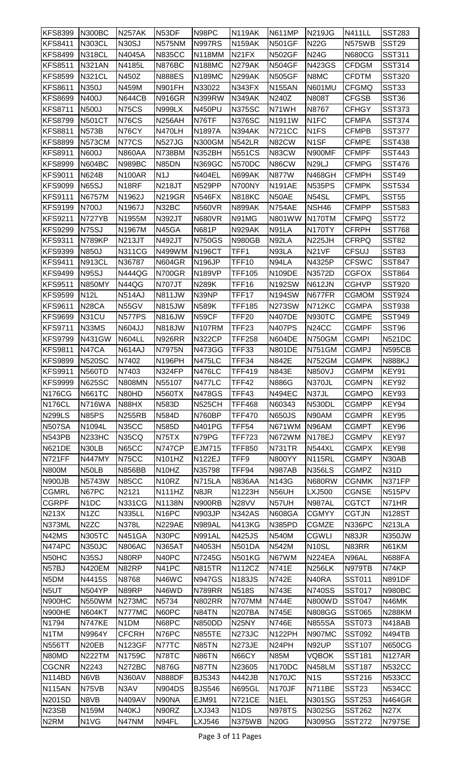| <b>KFS8399</b>     | <b>N300BC</b>      | <b>N257AK</b>      | N <sub>53</sub> DF             | N98PC         | <b>N119AK</b>                 | <b>N611MP</b>       | <b>N219JG</b>      | <b>N411LL</b>     | <b>SST283</b>     |
|--------------------|--------------------|--------------------|--------------------------------|---------------|-------------------------------|---------------------|--------------------|-------------------|-------------------|
| <b>KFS8411</b>     | <b>N303CL</b>      | <b>N30SJ</b>       | <b>N575NM</b>                  | <b>N997RS</b> | <b>N159AK</b>                 | <b>N501GF</b>       | <b>N22G</b>        | <b>N575WB</b>     | <b>SST29</b>      |
| <b>KFS8499</b>     | <b>N318CL</b>      | N4045A             | <b>N835CC</b>                  | <b>N118MM</b> | N <sub>21</sub> FX            | <b>N502GF</b>       | <b>N24G</b>        | <b>N680CG</b>     | <b>SST311</b>     |
| <b>KFS8511</b>     | <b>N321AN</b>      | N4185L             | <b>N876BC</b>                  | <b>N188MC</b> | <b>N279AK</b>                 | <b>N504GF</b>       | N423GS             | <b>CFDGM</b>      | <b>SST314</b>     |
| <b>KFS8599</b>     | <b>N321CL</b>      | N450Z              | <b>N888ES</b>                  | <b>N189MC</b> | <b>N299AK</b>                 | <b>N505GF</b>       | N8MC               | CFDTM             | <b>SST320</b>     |
| <b>KFS8611</b>     | N350J              | N459M              | <b>N901FH</b>                  | N33022        | <b>N343FX</b>                 | <b>N155AN</b>       | <b>N601MU</b>      | <b>CFGMQ</b>      | SST33             |
| <b>KFS8699</b>     | N400J              | <b>N644CB</b>      | <b>N916GR</b>                  | <b>N399RW</b> | <b>N349AK</b>                 | N240Z               | <b>N808T</b>       | CFGSB             | SST <sub>36</sub> |
| <b>KFS8711</b>     | <b>N500J</b>       | <b>N75CS</b>       | <b>N999LX</b>                  | <b>N450PU</b> | <b>N375SC</b>                 | N71WH               | N8767              | CFHGY             | <b>SST373</b>     |
| <b>KFS8799</b>     | <b>N501CT</b>      | <b>N76CS</b>       | <b>N256AH</b>                  | N76TF         | <b>N376SC</b>                 | N1911W              | N <sub>1FC</sub>   | <b>CFMPA</b>      | <b>SST374</b>     |
| <b>KFS8811</b>     | <b>N573B</b>       | N76CY              | N470LH                         | N1897A        | <b>N394AK</b>                 | <b>N721CC</b>       | N <sub>1FS</sub>   | CFMPB             | <b>SST377</b>     |
| <b>KFS8899</b>     | <b>N573CM</b>      | N77CS              | <b>N527JG</b>                  | N300GM        | <b>N542LR</b>                 | N82CW               | N <sub>1</sub> SF  | CFMPE             | <b>SST438</b>     |
| <b>KFS8911</b>     | N600J              | <b>N860AA</b>      | <b>N738BM</b>                  | <b>N352BH</b> | <b>N551CS</b>                 | N83CW               | N900MF             | CFMPF             | <b>SST443</b>     |
| <b>KFS8999</b>     | <b>N604BC</b>      | <b>N989BC</b>      | N85DN                          | N369GC        | N570DC                        | N86CW               | <b>N29LJ</b>       | CFMPG             | <b>SST476</b>     |
| <b>KFS9011</b>     | <b>N624B</b>       | <b>N100AR</b>      | N <sub>1</sub>                 | <b>N404EL</b> | <b>N699AK</b>                 | <b>N877W</b>        | <b>N468GH</b>      | <b>CFMPH</b>      | <b>SST49</b>      |
| <b>KFS9099</b>     | <b>N65SJ</b>       | N <sub>18</sub> RF | <b>N218JT</b>                  | <b>N529PP</b> | N700NY                        | <b>N191AE</b>       | <b>N535PS</b>      | CFMPK             | <b>SST534</b>     |
| <b>KFS9111</b>     | N6757M             | N1962J             | <b>N219GR</b>                  | <b>N546FX</b> | <b>N818KC</b>                 | N50AE               | N54SL              | <b>CFMPL</b>      | <b>SST55</b>      |
| <b>KFS9199</b>     | N700J              | N1967J             | N32BC                          | <b>N560VR</b> | <b>N899AK</b>                 | <b>N754AE</b>       | NSH46              | CFMPP             | <b>SST583</b>     |
| <b>KFS9211</b>     | N727YB             | N1955M             | N392JT                         | <b>N680VR</b> | N91MG                         | N801WW              | <b>N170TM</b>      | CFMPQ             | SST72             |
| <b>KFS9299</b>     | <b>N75SJ</b>       | N1967M             | N45GA                          | <b>N681P</b>  | <b>N929AK</b>                 | N91LA               | <b>N170TY</b>      | <b>CFRPH</b>      | <b>SST768</b>     |
| <b>KFS9311</b>     | <b>N789KP</b>      | <b>N213JT</b>      | <b>N492JT</b>                  | <b>N750GS</b> | <b>N980GB</b>                 | N92LA               | <b>N225JH</b>      | CFRPQ             | SST82             |
| <b>KFS9399</b>     | N850J              | <b>N311CG</b>      | N499WM                         | <b>N196CT</b> | TFF1                          | N93LA               | N <sub>21</sub> VF | <b>CFSUJ</b>      | SST83             |
| <b>KFS9411</b>     | <b>N913CL</b>      | N36787             | <b>N604GR</b>                  | <b>N196JP</b> | TFF10                         | N94LA               | N4325P             | CFSWC             | <b>SST847</b>     |
| <b>KFS9499</b>     | <b>N95SJ</b>       | N444QG             | <b>N700GR</b>                  | <b>N189VP</b> | <b>TFF105</b>                 | <b>N109DE</b>       | N3572D             | CGFOX             | <b>SST864</b>     |
| <b>KFS9511</b>     | <b>N850MY</b>      | N44QG              | <b>N707JT</b>                  | <b>N289K</b>  | TFF16                         | N192SW              | <b>N612JN</b>      | <b>CGHVP</b>      | <b>SST920</b>     |
| <b>KFS9599</b>     | <b>N12L</b>        | <b>N514AJ</b>      | <b>N811JW</b>                  | N39NP         | <b>TFF17</b>                  | <b>N194SW</b>       | N677FR             | CGMOM             | <b>SST924</b>     |
| <b>KFS9611</b>     | N <sub>28</sub> CA | N55GV              | <b>N815JW</b>                  | <b>N589K</b>  | <b>TFF185</b>                 | <b>N273SW</b>       | <b>N712KC</b>      | <b>CGMPA</b>      | <b>SST938</b>     |
| <b>KFS9699</b>     | N31CU              | <b>N577PS</b>      | <b>N816JW</b>                  | N59CF         | TFF20                         | <b>N407DE</b>       | <b>N930TC</b>      | CGMPE             | <b>SST949</b>     |
| <b>KFS9711</b>     | N33MS              | <b>N604JJ</b>      | <b>N818JW</b>                  | <b>N107RM</b> | TFF <sub>23</sub>             | <b>N407PS</b>       | N <sub>24</sub> CC | <b>CGMPF</b>      | SST96             |
| <b>KFS9799</b>     | <b>N431GW</b>      | <b>N604LL</b>      | <b>N926RR</b>                  | <b>N322CP</b> | <b>TFF258</b>                 | <b>N604DE</b>       | <b>N750GM</b>      | <b>CGMPI</b>      | <b>N521DC</b>     |
| <b>KFS9811</b>     | N47CA              | <b>N614AJ</b>      | N7975N                         | <b>N473GG</b> | TFF33                         | <b>N801DE</b>       | <b>N751GM</b>      | CGMPJ             | <b>N595CB</b>     |
| <b>KFS9899</b>     | <b>N520SC</b>      | N7402              | N196PH                         | <b>N475LC</b> | TFF34                         | <b>N842E</b>        | <b>N752GM</b>      | <b>CGMPK</b>      | <b>N888KJ</b>     |
| <b>KFS9911</b>     | <b>N560TD</b>      | N7403              | N324FP                         | <b>N476LC</b> | <b>TFF419</b>                 | <b>N843E</b>        | N850VJ             | <b>CGMPM</b>      | KEY91             |
| <b>KFS9999</b>     | <b>N625SC</b>      | <b>N808MN</b>      | N55107                         | <b>N477LC</b> | TFF42                         | <b>N886G</b>        | N370JL             | <b>CGMPN</b>      | KEY92             |
| <b>N176CG</b>      | <b>N661TC</b>      | N80HD              | <b>N560TX</b>                  | N478GS        | TFF43                         | <b>N494EC</b>       | N37JL              | CGMPO             | KEY93             |
| N176CL             | <b>N716WA</b>      | N88HX              | <b>N583D</b>                   | <b>N525CH</b> | <b>TFF468</b>                 | N60343              | <b>N530DL</b>      | <b>CGMPP</b>      | KEY94             |
| <b>N299LS</b>      | <b>N85PS</b>       | <b>N255RB</b>      | <b>N584D</b>                   | N760BP        | <b>TFF470</b>                 | <b>N650JS</b>       | N90AM              | CGMPR             | KEY95             |
| <b>N507SA</b>      | N1094L             | N35CC              | N585D                          | <b>N401PG</b> | <b>TFF54</b>                  | N671WM              | N96AM              | CGMPT             | KEY96             |
| N543PB             | <b>N233HC</b>      | N35CQ              | N75TX                          | N79PG         | <b>TFF723</b>                 | <b>N672WM</b>       | <b>N178EJ</b>      | <b>CGMPV</b>      | KEY97             |
| <b>N621DE</b>      | N30LB              | <b>N65CC</b>       | <b>N747CP</b>                  | <b>EJM715</b> | <b>TFF850</b>                 | <b>N731TR</b>       | <b>N544XL</b>      | <b>CGMPX</b>      | KEY98             |
| <b>N721FF</b>      | <b>N447MY</b>      | N75CC              | <b>N101HZ</b>                  | <b>N122EJ</b> | TFF9                          | <b>N800YY</b>       | <b>N115RL</b>      | <b>CGMPY</b>      | N30AB             |
| <b>N800M</b>       | N50LB              | <b>N856BB</b>      | N <sub>10</sub> H <sub>Z</sub> | N35798        | TFF94                         | <b>N987AB</b>       | <b>N356LS</b>      | <b>CGMPZ</b>      | <b>N31D</b>       |
| N900JB             | N5743W             | <b>N85CC</b>       | N <sub>10</sub> RZ             | <b>N715LA</b> | <b>N836AA</b>                 | N143G               | N680RW             | <b>CGNMK</b>      | N371FP            |
| <b>CGMRL</b>       | N67PC              | N2121              | N111HZ                         | N8JR          | N1223H                        | N56UH               | <b>LXJ500</b>      | CGNSE             | <b>N515PV</b>     |
| <b>CGRPF</b>       | N <sub>1</sub> DC  | <b>N331CG</b>      | N1138N                         | <b>N900RB</b> | <b>N28VV</b>                  | N57UH               | <b>N987AL</b>      | CGTCT             | N71HR             |
| <b>N213X</b>       | N <sub>1</sub> ZC  | <b>N335LL</b>      | N <sub>16</sub> PC             | <b>N903JP</b> | <b>N342AS</b>                 | <b>N608GA</b>       | <b>CGMYY</b>       | <b>CGTJN</b>      | <b>N128ST</b>     |
| N373ML             | N <sub>2</sub> ZC  | N378L              | <b>N229AE</b>                  | <b>N989AL</b> | <b>N413KG</b>                 | <b>N385PD</b>       | <b>CGMZE</b>       | <b>N336PC</b>     | <b>N213LA</b>     |
| N42MS              | <b>N305TC</b>      | <b>N451GA</b>      | N30PC                          | <b>N991AL</b> | <b>N425JS</b>                 | <b>N540M</b>        | <b>CGWLI</b>       | N83JR             | <b>N350JW</b>     |
| N474PC             | <b>N350JC</b>      | <b>N806AC</b>      | <b>N365AT</b>                  | N4053H        | <b>N501DA</b>                 | N542M               | N <sub>10</sub> SL | N83RR             | N61KM             |
| N50HC              | <b>N35SJ</b>       | N80RP              | N40PC                          | N7245G        | <b>N501KG</b>                 | N67WM               | <b>N224EA</b>      | N96AL             | <b>N688FA</b>     |
| N57BJ              | <b>N420EM</b>      | N82RP              | N41PC                          | <b>N815TR</b> | <b>N112CZ</b>                 | N741E               | <b>N256LK</b>      | N979TB            | N74KP             |
| N <sub>5</sub> DM  | N4415S             | N8768              | N46WC                          | <b>N947GS</b> | <b>N183JS</b>                 | <b>N742E</b>        | N40RA              | SST011            | <b>N891DF</b>     |
| N <sub>5U</sub> T  | <b>N504YP</b>      | N89RP              | N46WD                          | <b>N789RR</b> | <b>N518S</b>                  | <b>N743E</b>        | <b>N740SS</b>      | <b>SST017</b>     | <b>N980BC</b>     |
| N900HC             | N550WM             | <b>N273MC</b>      | N5734                          | <b>N802RR</b> | N707MM                        | <b>N744E</b>        | N800WD             | <b>SST047</b>     | N46MK             |
| N900HE             | <b>N604KT</b>      | N777MC             | N60PC                          | N84TN         | <b>N207BA</b>                 | N745E               | <b>N808GG</b>      | <b>SST065</b>     | <b>N288KM</b>     |
| N1794              | N747KE             | N1DM               | N68PC                          | N850DD        | N <sub>25</sub> NY            | N746E               | <b>N855SA</b>      | <b>SST073</b>     | <b>N418AB</b>     |
| N1TM               | N9964Y             | <b>CFCRH</b>       | N76PC                          | <b>N855TE</b> | N273JC                        | <b>N122PH</b>       | <b>N907MC</b>      | <b>SST092</b>     | <b>N494TB</b>     |
| <b>N556TT</b>      | N <sub>20</sub> EB | <b>N123GF</b>      | N77TC                          | <b>N85TN</b>  | N273JE                        | N <sub>24</sub> PH  | N92UP              | <b>SST107</b>     | <b>N650CG</b>     |
| N80MD              | <b>N222TM</b>      | N1759C             | N78TC                          | N86TN         | N66CY                         | <b>N85M</b>         | <b>VQBOK</b>       | <b>SST181</b>     | <b>N127AR</b>     |
| <b>CGCNR</b>       | N2243              | <b>N272BC</b>      | <b>N876G</b>                   | N87TN         | N23605                        | N170DC              | <b>N458LM</b>      | <b>SST187</b>     | <b>N532CC</b>     |
| <b>N114BD</b>      | N6VB               | <b>N360AV</b>      | <b>N888DF</b>                  | <b>BJS343</b> | <b>N442JB</b>                 | N <sub>170</sub> JC | N <sub>1</sub> S   | <b>SST216</b>     | <b>N533CC</b>     |
| <b>N115AN</b>      | N75VB              | N3AV               | <b>N904DS</b>                  | <b>BJS546</b> | <b>N695GL</b>                 | N170JF              | <b>N711BE</b>      | SST <sub>23</sub> | <b>N534CC</b>     |
| <b>N201SD</b>      | N8VB               | <b>N409AV</b>      | N90NA                          | EJM91         | <b>N721CE</b>                 | N <sub>1EL</sub>    | <b>N301SG</b>      | <b>SST253</b>     | <b>N464GR</b>     |
| N <sub>23</sub> SB | N159M              | N40KJ              | N90RZ                          | LXJ343        | N <sub>1</sub> D <sub>S</sub> | <b>N978TS</b>       | N302SG             | <b>SST262</b>     | <b>N27X</b>       |
| N <sub>2</sub> RM  | N1VG               | N47NM              | N94FL                          | LXJ546        | <b>N375WB</b>                 | <b>N20G</b>         | <b>N309SG</b>      | <b>SST272</b>     | <b>N797SE</b>     |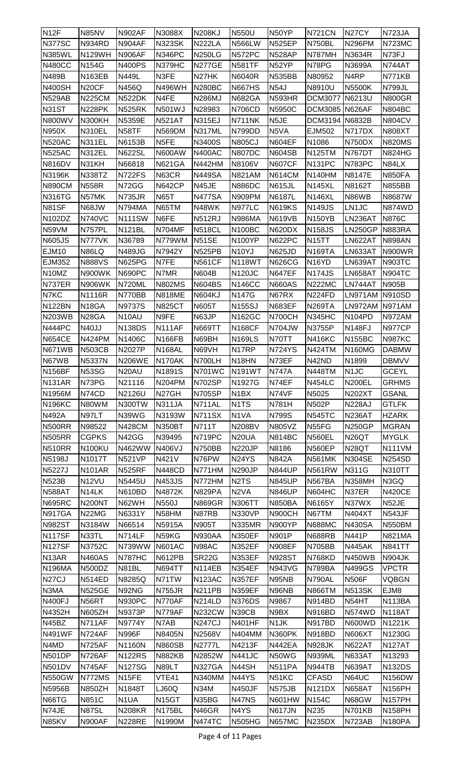| N <sub>12</sub> F  | N85NV                          | <b>N902AF</b>     | N3088X             | <b>N208KJ</b> | <b>N550U</b>                  | N50YP             | <b>N721CN</b>      | N <sub>27</sub> CY  | <b>N723JA</b>       |
|--------------------|--------------------------------|-------------------|--------------------|---------------|-------------------------------|-------------------|--------------------|---------------------|---------------------|
| <b>N377SC</b>      | <b>N934RD</b>                  | <b>N904AF</b>     | <b>N323SK</b>      | <b>N222LA</b> | <b>N566LW</b>                 | <b>N525EP</b>     | <b>N750BL</b>      | <b>N296PM</b>       | <b>N723MC</b>       |
| <b>N385WL</b>      | <b>N129WH</b>                  | <b>N906AF</b>     | <b>N346PC</b>      | <b>N250LG</b> | <b>N572PC</b>                 | <b>N528AP</b>     | N787MH             | N3634R              | N73FJ               |
| <b>N480CC</b>      | N154G                          | <b>N400PS</b>     | N379HC             | <b>N277GE</b> | <b>N581TF</b>                 | N52YP             | N78PG              | N3699A              | <b>N744AT</b>       |
| <b>N489B</b>       | <b>N163EB</b>                  | N449L             | N3FE               | N27HK         | N6040R                        | <b>N535BB</b>     | N80952             | N <sub>4</sub> RP   | <b>N771KB</b>       |
| <b>N400SH</b>      | N <sub>20</sub> CF             | N456Q             | <b>N496WH</b>      | <b>N280BC</b> | <b>N667HS</b>                 | <b>N54J</b>       | N8910U             | N5500K              | <b>N799JL</b>       |
| <b>N529AB</b>      | <b>N225CM</b>                  | <b>N522DK</b>     | N4FE               | <b>N286MJ</b> | <b>N682GA</b>                 | <b>N593HR</b>     | <b>DCM3077</b>     | N6213U              | <b>N800GR</b>       |
| <b>N31ST</b>       | <b>N228PK</b>                  | <b>N525RK</b>     | <b>N501WJ</b>      | N28983        | <b>N706CD</b>                 | N5950C            | <b>DCM3085</b>     | N626AF              | <b>N804BC</b>       |
| <b>N800WV</b>      | <b>N300KH</b>                  | N5359E            | <b>N521AT</b>      | N315EJ        | N711NK                        | N5JE              | DCM3194 N6832B     |                     | <b>N804CV</b>       |
| <b>N950X</b>       | <b>N310EL</b>                  | N58TF             | <b>N569DM</b>      | N317ML        | N799DD                        | N5VA              | EJM502             | <b>N717DX</b>       | <b>N808XT</b>       |
| <b>N520AC</b>      | <b>N311EL</b>                  | N6153B            | N <sub>5FE</sub>   | N3400S        | <b>N805CJ</b>                 | N604EF            | N1086              | N750DX              | <b>N820MS</b>       |
| <b>N525AC</b>      | <b>N312EL</b>                  | <b>N622SL</b>     | <b>N600AW</b>      | <b>N400AC</b> | <b>N807DC</b>                 | <b>N604SB</b>     | <b>N125TM</b>      | N767DT              | <b>N824HG</b>       |
| <b>N816DV</b>      | N31KH                          | N66818            | <b>N621GA</b>      | <b>N442HM</b> | N8106V                        | <b>N607CF</b>     | <b>N131PC</b>      | <b>N783PC</b>       | N84LX               |
| <b>N3196K</b>      | <b>N338TZ</b>                  | <b>N722FS</b>     | N63CR              | <b>N449SA</b> | <b>N821AM</b>                 | <b>N614CM</b>     | <b>N140HM</b>      | <b>N8147E</b>       | <b>N850FA</b>       |
| <b>N890CM</b>      | <b>N558R</b>                   | N72GG             | <b>N642CP</b>      | N45JE         | <b>N886DC</b>                 | <b>N615JL</b>     | <b>N145XL</b>      | N8162T              | <b>N855BB</b>       |
| <b>N316TG</b>      | N57MK                          | <b>N735JR</b>     | <b>N65T</b>        | <b>N477SA</b> | N909PM                        | N6187L            | <b>N146XL</b>      | N86WB               | N8687W              |
| N81SF              | N68JW                          | <b>N794MA</b>     | N65TM              | N48WK         | <b>N977LC</b>                 | <b>N619KS</b>     | <b>N149JS</b>      | LN1JC               | N874WD              |
| N102DZ             | <b>N740VC</b>                  | <b>N111SW</b>     | N6FE               | <b>N512RJ</b> | <b>N986MA</b>                 | <b>N619VB</b>     | <b>N150YB</b>      | LN236AT             | <b>N876C</b>        |
| N59VM              | <b>N757PL</b>                  | <b>N121BL</b>     | <b>N704MF</b>      | <b>N518CL</b> | <b>N100BC</b>                 | <b>N620DX</b>     | <b>N158JS</b>      | <b>LN250GP</b>      | <b>N883RA</b>       |
| <b>N605JS</b>      | N777VK                         | N36789            | N779WM             | <b>N51SE</b>  | <b>N100YP</b>                 | <b>N622PC</b>     | N <sub>15</sub> TT | LN622AT             | <b>N898AN</b>       |
| <b>EJM10</b>       | <b>N86LQ</b>                   | <b>N489JG</b>     | N7942Y             | <b>N525PB</b> | N <sub>10</sub> YJ            | <b>N625JD</b>     | <b>N169TA</b>      | LN633AT             | <b>N900WR</b>       |
| <b>EJM352</b>      | <b>N888VS</b>                  | <b>N625PG</b>     | N7FE               | <b>N561CF</b> | <b>N118WT</b>                 | <b>N626CG</b>     | N <sub>16</sub> YD | LN639AT             | <b>N903TC</b>       |
| N10MZ              | N900WK                         | <b>N690PC</b>     | N7MR               | N604B         | <b>N120JC</b>                 | <b>N647EF</b>     | <b>N174JS</b>      | LN658AT             | <b>N904TC</b>       |
| N737ER             | <b>N906WK</b>                  | N720ML            | <b>N802MS</b>      | <b>N604BS</b> | <b>N146CC</b>                 | <b>N660AS</b>     | <b>N222MC</b>      | LN744AT             | <b>N905B</b>        |
| N7KC               | N1116R                         | N770BB            | <b>N818ME</b>      | <b>N604KJ</b> | <b>N147G</b>                  | N67RX             | <b>N224FD</b>      | LN971AM             | <b>N910SD</b>       |
| <b>N122BN</b>      | N <sub>18</sub> GA             | <b>N9737S</b>     | <b>N825CT</b>      | <b>N605T</b>  | <b>N155SJ</b>                 | <b>N683EF</b>     | <b>N269TA</b>      | LN972AM             | <b>N971AM</b>       |
| <b>N203WB</b>      | N <sub>28</sub> GA             | N10AU             | N9FE               | N63JP         | <b>N162GC</b>                 | <b>N700CH</b>     | <b>N345HC</b>      | N <sub>104</sub> PD | <b>N972AM</b>       |
| N444PC             | N40JJ                          | <b>N138DS</b>     | N111AF             | <b>N669TT</b> | <b>N168CF</b>                 | <b>N704JW</b>     | N3755P             | <b>N148FJ</b>       | <b>N977CP</b>       |
| <b>N654CE</b>      | <b>N424PM</b>                  | N1406C            | <b>N166FB</b>      | N69BH         | <b>N169LS</b>                 | N70TT             | <b>N416KC</b>      | <b>N155BC</b>       | <b>N987KC</b>       |
| <b>N671WB</b>      | <b>N503CB</b>                  | N2027P            | <b>N168AL</b>      | N69VH         | N <sub>17</sub> RP            | <b>N724YS</b>     | <b>N424TM</b>      | <b>N160MG</b>       | <b>DABMW</b>        |
| N67WB              | <b>N5337N</b>                  | <b>N206WE</b>     | N170AK             | N700LH        | N <sub>18</sub> HN            | N73EF             | N42ND              | N1899               | <b>DBMVV</b>        |
| <b>N156BF</b>      | <b>N53SG</b>                   | N20AU             | N1891S             | <b>N701WC</b> | <b>N191WT</b>                 | <b>N747A</b>      | <b>N448TM</b>      | N <sub>1</sub> JC   | <b>GCEYL</b>        |
| <b>N131AR</b>      | N73PG                          | N21116            | <b>N204PM</b>      | <b>N702SP</b> | N1927G                        | N74EF             | <b>N454LC</b>      | <b>N200EL</b>       | <b>GRHMS</b>        |
| N1956M             | N74CD                          | N2126U            | N27GH              | <b>N705SP</b> | N <sub>1</sub> BX             | N74VF             | N5025              | <b>N202XT</b>       | <b>GSANL</b>        |
| <b>N196KC</b>      | N80WM                          | N300TW            | <b>N311JA</b>      | N711AL        | N <sub>1</sub> T <sub>S</sub> | N781H             | <b>N502P</b>       | <b>N228AJ</b>       | <b>GTLFK</b>        |
| <b>N492A</b>       | N97LT                          | N39WG             | N3193W             | <b>N711SX</b> | N <sub>1</sub> VA             | N799S             | <b>N545TC</b>      | <b>N236AT</b>       | <b>HZARK</b>        |
| <b>N500RR</b>      | N98522                         | <b>N428CM</b>     | <b>N350BT</b>      | <b>N711T</b>  | <b>N208BV</b>                 | N805VZ            | N55FG              | <b>N250GP</b>       | <b>MGRAN</b>        |
| <b>N505RR</b>      | <b>CGPKS</b>                   | N42GG             | N39495             | <b>N719PC</b> | <b>N20UA</b>                  | <b>N814BC</b>     | <b>N560EL</b>      | N <sub>26</sub> QT  | <b>MYGLK</b>        |
| <b>N510RR</b>      | <b>N100KU</b>                  | N462WW            | N406VJ             | <b>N750BB</b> | <b>N220JP</b>                 | N8186             | <b>N560EP</b>      | <b>N28QT</b>        | <b>N111VM</b>       |
| N5198J             | N1017T                         | <b>N521VP</b>     | N421V              | N76PW         | <b>N24YS</b>                  | <b>N842A</b>      | <b>N561MK</b>      | <b>N304SE</b>       | <b>N254SD</b>       |
| N5227J             | <b>N101AR</b>                  | <b>N525RF</b>     | <b>N448CD</b>      | N771HM        | <b>N290JP</b>                 | <b>N844UP</b>     | <b>N561RW</b>      | <b>N311G</b>        | N310TT              |
| <b>N523B</b>       | N12VU                          | N5445U            | <b>N453JS</b>      | N772HM        | N <sub>2</sub> T <sub>S</sub> | <b>N845UP</b>     | <b>N567BA</b>      | <b>N358MH</b>       | N3GQ                |
| <b>N588AT</b>      | N <sub>14</sub> LK             | <b>N610BD</b>     | N4872K             | <b>N829PA</b> | N <sub>2</sub> VA             | <b>N846UP</b>     | <b>N604HC</b>      | N37ER               | <b>N420CE</b>       |
| <b>N695RC</b>      | <b>N200NT</b>                  | N62WH             | <b>N550J</b>       | <b>N869GR</b> | N306TT                        | <b>N850BA</b>     | N6165Y             | N37WX               | N52JE               |
| <b>N917GA</b>      | N <sub>22</sub> M <sub>G</sub> | N6331Y            | N58HM              | N87RB         | <b>N330VP</b>                 | <b>N900CH</b>     | N67TM              | <b>N404XT</b>       | N543JF              |
| <b>N982ST</b>      | N3184W                         | N66514            | <b>N5915A</b>      | N905T         | <b>N335MR</b>                 | N900YP            | <b>N688MC</b>      | <b>N430SA</b>       | <b>N550BM</b>       |
| <b>N117SF</b>      | N33TL                          | N714LF            | N59KG              | <b>N930AA</b> | <b>N350EF</b>                 | N901P             | <b>N688RB</b>      | <b>N441P</b>        | <b>N821MA</b>       |
| <b>N127SF</b>      | N3752C                         | N739WW            | <b>N601AC</b>      | N98AC         | <b>N352EF</b>                 | <b>N908EF</b>     | <b>N705BB</b>      | <b>N445AK</b>       | <b>N841TT</b>       |
| N <sub>13</sub> AR | <b>N460AS</b>                  | <b>N787HC</b>     | <b>N612PB</b>      | <b>SR22G</b>  | <b>N353EF</b>                 | <b>N928ST</b>     | <b>N768KD</b>      | <b>N450WB</b>       | <b>N904JK</b>       |
| <b>N196MA</b>      | <b>N500DZ</b>                  | N81BL             | <b>N694TT</b>      | <b>N114EB</b> | <b>N354EF</b>                 | <b>N943VG</b>     | <b>N789BA</b>      | <b>N499GS</b>       | <b>VPCTR</b>        |
| N <sub>27</sub> CJ | <b>N514ED</b>                  | N8285Q            | N71TW              | <b>N123AC</b> | <b>N357EF</b>                 | N95NB             | <b>N790AL</b>      | <b>N506F</b>        | VQBGN               |
| N3MA               | <b>N525GE</b>                  | N92NG             | <b>N755JR</b>      | <b>N211PB</b> | <b>N359EF</b>                 | N96NB             | <b>N866TM</b>      | <b>N513SK</b>       | EJM8                |
| <b>N400FJ</b>      | N56RT                          | <b>N930PC</b>     | N770AF             | <b>N214LD</b> | <b>N376DS</b>                 | N9867             | <b>N914BD</b>      | N54HT               | <b>N113BA</b>       |
| N4352H             | <b>N605ZH</b>                  | N9373P            | N779AF             | <b>N232CW</b> | N39CB                         | N9BX              | <b>N916BD</b>      | <b>N574WD</b>       | <b>N118AT</b>       |
| N45BZ              | <b>N711AF</b>                  | N9774Y            | N7AB               | <b>N247CJ</b> | <b>N401HF</b>                 | N <sub>1</sub> JK | <b>N917BD</b>      | N600WD              | N1221K              |
| <b>N491WF</b>      | N724AF                         | N996F             | N8405N             | N2568V        | N404MM                        | <b>N360PK</b>     | <b>N918BD</b>      | <b>N606XT</b>       | N1230G              |
| N4MD               | <b>N725AF</b>                  | N1160N            | <b>N860SB</b>      | <b>N2777L</b> | N4213F                        | <b>N442EA</b>     | <b>N928JK</b>      | <b>N622AT</b>       | <b>N127AT</b>       |
| <b>N501DP</b>      | <b>N726AF</b>                  | <b>N122RS</b>     | <b>N882KB</b>      | N2852W        | <b>N441JC</b>                 | N50WG             | <b>N939ML</b>      | <b>N633AT</b>       | N13293              |
| <b>N501DV</b>      | <b>N745AF</b>                  | <b>N127SG</b>     | <b>N89LT</b>       | <b>N327GA</b> | N44SH                         | <b>N511PA</b>     | <b>N944TB</b>      | <b>N639AT</b>       | <b>N132DS</b>       |
| <b>N550GW</b>      | <b>N772MS</b>                  | N <sub>15FE</sub> | VTE41              | N340MM        | N44YS                         | N51KC             | CFASD              | N64UC               | <b>N156DW</b>       |
| <b>N5956B</b>      | <b>N850ZH</b>                  | N1848T            | LJ60Q              | <b>N34M</b>   | <b>N450JF</b>                 | <b>N575JB</b>     | <b>N121DX</b>      | <b>N658AT</b>       | <b>N156PH</b>       |
| N66TG              | <b>N851C</b>                   | N <sub>1</sub> UA | N <sub>15</sub> GT | N35BG         | N47NS                         | N601HW            | <b>N154C</b>       | N68GW               | N <sub>157</sub> PH |
| N74JE              | N87SL                          | <b>N208KR</b>     | <b>N175BL</b>      | N46GR         | N4YS                          | <b>N617JN</b>     | N235               | <b>N701KB</b>       | <b>N158PH</b>       |
| N85KV              | <b>N900AF</b>                  | <b>N228RE</b>     | N1990M             | <b>N474TC</b> | <b>N505HG</b>                 | <b>N657MC</b>     | <b>N235DX</b>      | N723AB              | <b>N180PA</b>       |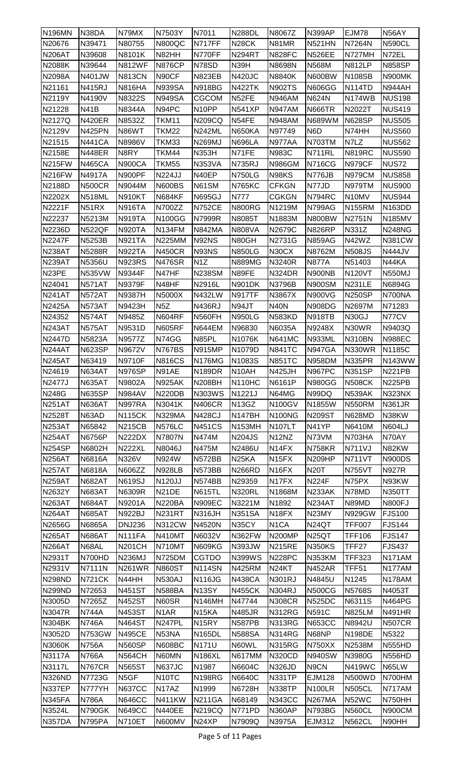| <b>N196MN</b> | N38DA         | N79MX             | N7503Y             | N7011              | <b>N288DL</b>      | N8067Z                         | <b>N399AP</b>      | <b>EJM78</b>  | N56AY         |
|---------------|---------------|-------------------|--------------------|--------------------|--------------------|--------------------------------|--------------------|---------------|---------------|
| N20676        | N39471        | N80755            | <b>N800QC</b>      | N717FF             | <b>N28CK</b>       | N81MR                          | <b>N521HN</b>      | <b>N7264N</b> | <b>N590CL</b> |
| <b>N206AT</b> | N39608        | N8101K            | N82HH              | N770FF             | <b>N294RT</b>      | <b>N828FC</b>                  | <b>N526EE</b>      | N727MH        | N72EL         |
| <b>N2088K</b> | N39644        | <b>N812WF</b>     | <b>N876CP</b>      | N78SD              | N39H               | N8698N                         | <b>N568M</b>       | <b>N812LP</b> | <b>N858SP</b> |
| N2098A        | N401JW        | <b>N813CN</b>     | N90CF              | <b>N823EB</b>      | <b>N420JC</b>      | <b>N8840K</b>                  | N600BW             | <b>N108SB</b> | N900MK        |
| N21161        | <b>N415RJ</b> | <b>N816HA</b>     | <b>N939SA</b>      | <b>N918BG</b>      | <b>N422TK</b>      | <b>N902TS</b>                  | <b>N606GG</b>      | <b>N114TD</b> | <b>N944AH</b> |
| N2119Y        | N4190V        | N8322S            | <b>N949SA</b>      | CGCOM              | N52FE              | <b>N946AM</b>                  | <b>N624N</b>       | <b>N174WB</b> | <b>NUS198</b> |
| N21228        | <b>N41B</b>   | N8344A            | N94PC              | N <sub>10</sub> PP | <b>N541XP</b>      | <b>N947AM</b>                  | <b>N666TR</b>      | N2022T        | <b>NUS419</b> |
|               |               |                   |                    |                    |                    |                                |                    |               |               |
| N2127Q        | <b>N420ER</b> | N8532Z            | TKM11              | <b>N209CQ</b>      | N54FE              | <b>N948AM</b>                  | <b>N689WM</b>      | <b>N628SP</b> | <b>NUS505</b> |
| N2129V        | <b>N425PN</b> | N86WT             | TKM22              | <b>N242ML</b>      | <b>N650KA</b>      | N97749                         | N <sub>6</sub> D   | N74HH         | <b>NUS560</b> |
| N21515        | <b>N441CA</b> | N8986V            | TKM33              | <b>N269MJ</b>      | <b>N696LA</b>      | N977AA                         | <b>N703TM</b>      | N7LZ          | <b>NUS562</b> |
| N2158E        | <b>N448ER</b> | N8RY              | TKM44              | <b>N353H</b>       | N71FE              | <b>N983C</b>                   | <b>N711RL</b>      | <b>N819RC</b> | <b>NUS590</b> |
| <b>N215FW</b> | <b>N465CA</b> | <b>N900CA</b>     | TKM55              | <b>N353VA</b>      | <b>N735RJ</b>      | <b>N986GM</b>                  | <b>N716CG</b>      | <b>N979CF</b> | <b>NUS72</b>  |
| <b>N216FW</b> | N4917A        | N900PF            | <b>N224JJ</b>      | N40EP              | <b>N750LG</b>      | N98KS                          | N776JB             | <b>N979CM</b> | <b>NUS858</b> |
| N2188D        | <b>N500CR</b> | N9044M            | <b>N600BS</b>      | N61SM              | <b>N765KC</b>      | <b>CFKGN</b>                   | N77JD              | N979TM        | <b>NUS900</b> |
| N2202X        | <b>N518ML</b> | <b>N910KT</b>     | <b>N684KF</b>      | <b>N695GJ</b>      | N777               | <b>CGKGN</b>                   | <b>N794RC</b>      | N10MV         | <b>NUS944</b> |
| <b>N2221F</b> | N51RX         | N916TA            | N700ZZ             | <b>N752CE</b>      | <b>N800RG</b>      | N1219M                         | <b>N799AG</b>      | <b>N155RM</b> | <b>N163DD</b> |
| N22237        | N5213M        | <b>N919TA</b>     | <b>N100GG</b>      | N7999R             | N8085T             | N1883M                         | <b>N800BW</b>      | N2751N        | <b>N185MV</b> |
| <b>N2236D</b> | <b>N522QF</b> | <b>N920TA</b>     | N134FM             | <b>N842MA</b>      | <b>N808VA</b>      | N2679C                         | <b>N826RP</b>      | N331Z         | <b>N248NG</b> |
| <b>N2247F</b> | N5253B        | <b>N921TA</b>     | <b>N225MM</b>      | N92NS              | N80GH              | N2731G                         | <b>N859AG</b>      | N42WZ         | <b>N381CW</b> |
| <b>N238AT</b> | N5288R        | <b>N922TA</b>     | <b>N450CR</b>      | N93NS              | <b>N850LG</b>      | N30CX                          | N8762M             | <b>N508JS</b> | <b>N444JV</b> |
| <b>N239AT</b> | N5356U        | <b>N923RS</b>     | <b>N476SR</b>      | N <sub>1</sub> Z   | <b>N889MG</b>      | N3240R                         | <b>N877A</b>       | N51403        | N44KA         |
| N23PE         | <b>N535VW</b> | N9344F            | N47HF              | <b>N238SM</b>      | N89FE              | <b>N324DR</b>                  | N900NB             | <b>N120VT</b> | <b>N550MJ</b> |
| N24041        |               |                   |                    |                    |                    |                                |                    | <b>N231LE</b> | N6894G        |
|               | <b>N571AT</b> | N9379F            | N48HF              | N2916L             | <b>N901DK</b>      | <b>N3796B</b>                  | <b>N900SM</b>      |               |               |
| <b>N241AT</b> | <b>N572AT</b> | N9387H            | N5000X             | <b>N432LW</b>      | <b>N917TF</b>      | N3867X                         | <b>N900VG</b>      | <b>N250SP</b> | N700NA        |
| <b>N2425A</b> | <b>N573AT</b> | N9423H            | N <sub>5</sub> Z   | <b>N436RJ</b>      | N94JT              | <b>N40N</b>                    | <b>N908DG</b>      | N2697M        | N71283        |
| N24352        | <b>N574AT</b> | N9485Z            | <b>N604RF</b>      | <b>N560FH</b>      | <b>N950LG</b>      | <b>N583KD</b>                  | <b>N918TB</b>      | N30GJ         | N77CV         |
| <b>N243AT</b> | <b>N575AT</b> | N9531D            | <b>N605RF</b>      | <b>N644EM</b>      | N96830             | N6035A                         | N9248X             | N30WR         | N9403Q        |
| <b>N2447D</b> | N5823A        | N9577Z            | N74GG              | N85PL              | N1076K             | <b>N641MC</b>                  | <b>N933ML</b>      | <b>N310BN</b> | <b>N988EC</b> |
| <b>N244AT</b> | <b>N623SP</b> | N9672V            | <b>N767BS</b>      | <b>N915MP</b>      | N1079D             | <b>N841TC</b>                  | <b>N947GA</b>      | <b>N330WR</b> | N1185C        |
| <b>N245AT</b> | N63419        | <b>N9710F</b>     | <b>N816CS</b>      | <b>N176MG</b>      | N1083S             | <b>N851TC</b>                  | <b>N958DM</b>      | <b>N335PR</b> | <b>N143WW</b> |
| N24619        | <b>N634AT</b> | <b>N976SP</b>     | N91AE              | N189DR             | N10AH              | <b>N425JH</b>                  | N967PC             | <b>N351SP</b> | <b>N221PB</b> |
| <b>N2477J</b> | N635AT        | N9802A            | <b>N925AK</b>      | <b>N208BH</b>      | N110HC             | N6161P                         | <b>N980GG</b>      | <b>N508CK</b> | <b>N225PB</b> |
| <b>N248G</b>  | <b>N635SP</b> | <b>N984AV</b>     | <b>N220DB</b>      | N303WS             | N1221J             | N64MG                          | N99DQ              | <b>N539AK</b> | <b>N323NX</b> |
| <b>N251AT</b> | <b>N636AT</b> | <b>N997RA</b>     | N3041K             | <b>N406CR</b>      | N <sub>13</sub> GZ | <b>N100GV</b>                  | N1855W             | <b>N550RM</b> | <b>N361JR</b> |
| N2528T        | N63AD         | <b>N115CK</b>     | <b>N329MA</b>      | <b>N428CJ</b>      | <b>N147BH</b>      | <b>N100NG</b>                  | <b>N209ST</b>      | <b>N628MD</b> | N38KW         |
| <b>N253AT</b> | N65842        | <b>N215CB</b>     | <b>N576LC</b>      | <b>N451CS</b>      | <b>N153MH</b>      | <b>N107LT</b>                  | N41YP              | N6410M        | <b>N604LJ</b> |
| <b>N254AT</b> | N6756P        | <b>N222DX</b>     | <b>N7807N</b>      | N474M              | <b>N204JS</b>      | N <sub>12</sub> N <sub>Z</sub> | N73VM              | N703HA        | N70AY         |
| <b>N254SP</b> | N6802H        | <b>N222XL</b>     | N8046J             | N475M              | N2486U             | N <sub>14</sub> FX             | <b>N758KR</b>      | <b>N711VJ</b> | N82KW         |
| <b>N256AT</b> | N6816A        | <b>N326V</b>      | N924W              | <b>N572BB</b>      | N <sub>25</sub> KA | N <sub>15FX</sub>              | <b>N209HP</b>      | <b>N711VT</b> | <b>N900DS</b> |
| <b>N257AT</b> | N6818A        | N606ZZ            | <b>N928LB</b>      | <b>N573BB</b>      | <b>N266RD</b>      | N <sub>16FX</sub>              | <b>N20T</b>        | <b>N755VT</b> | <b>N927R</b>  |
| <b>N259AT</b> | <b>N682AT</b> |                   | <b>N120JJ</b>      | N574BB             |                    | N <sub>17FX</sub>              | <b>N224F</b>       | N75PX         |               |
|               |               | <b>N619SJ</b>     |                    |                    | N29359             |                                |                    |               | N93KW         |
| N2632Y        | <b>N683AT</b> | N6309R            | N <sub>21</sub> DE | <b>N615TL</b>      | <b>N320RL</b>      | N1868M                         | N233AK             | N78MD         | <b>N350TT</b> |
| <b>N263AT</b> | <b>N684AT</b> | N9201A            | <b>N220BA</b>      | <b>N909EC</b>      | N3221M             | N1892                          | <b>N234AT</b>      | N89MD         | <b>N800FJ</b> |
| <b>N264AT</b> | <b>N685AT</b> | <b>N922BJ</b>     | N231RT             | <b>N316JH</b>      | <b>N351SA</b>      | N <sub>18</sub> FX             | N23MY              | <b>N929GW</b> | <b>FJS100</b> |
| N2656G        | N6865A        | <b>DNJ236</b>     | <b>N312CW</b>      | <b>N4520N</b>      | N35CY              | N <sub>1</sub> CA              | <b>N24QT</b>       | <b>TFF007</b> | <b>FJS144</b> |
| <b>N265AT</b> | <b>N686AT</b> | N111FA            | <b>N410MT</b>      | N6032V             | <b>N362FW</b>      | <b>N200MP</b>                  | N <sub>25</sub> QT | <b>TFF106</b> | <b>FJS147</b> |
| <b>N266AT</b> | N68AL         | <b>N201CH</b>     | N710MT             | <b>N609KG</b>      | N393JW             | <b>N215RE</b>                  | <b>N350KS</b>      | TFF27         | <b>FJS437</b> |
| N2931T        | N700HD        | <b>N236MJ</b>     | <b>N725DM</b>      | <b>CGTDO</b>       | <b>N399WS</b>      | <b>N228PC</b>                  | <b>N353KM</b>      | <b>TFF323</b> | N171AM        |
| N2931V        | <b>N7111N</b> | <b>N261WR</b>     | <b>N860ST</b>      | <b>N114SN</b>      | <b>N425RM</b>      | N <sub>24K</sub> T             | <b>N452AR</b>      | <b>TFF51</b>  | N177AM        |
| <b>N298ND</b> | <b>N721CK</b> | N44HH             | <b>N530AJ</b>      | <b>N116JG</b>      | <b>N438CA</b>      | <b>N301RJ</b>                  | N4845U             | N1245         | <b>N178AM</b> |
| N299ND        | N72653        | <b>N451ST</b>     | N588BA             | N <sub>13</sub> SY | <b>N455CK</b>      | <b>N304RJ</b>                  | <b>N500CG</b>      | <b>N5768S</b> | N4053T        |
| N3005D        | N7265Z        | <b>N452ST</b>     | N60SR              | <b>N146MH</b>      | N47744             | <b>N308CR</b>                  | <b>N525DC</b>      | N6311S        | <b>N464PG</b> |
| <b>N3047R</b> | <b>N744A</b>  | <b>N453ST</b>     | N <sub>1</sub> AR  | N <sub>15</sub> KA | <b>N485JR</b>      | <b>N312RG</b>                  | <b>N591C</b>       | <b>N825LM</b> | <b>N491HR</b> |
| <b>N304BK</b> | <b>N746A</b>  | <b>N464ST</b>     | N247PL             | N <sub>15RY</sub>  | <b>N587PB</b>      | <b>N313RG</b>                  | <b>N653CC</b>      | N8942U        | <b>N507CR</b> |
| N3052D        | <b>N753GW</b> | <b>N495CE</b>     | N53NA              | <b>N165DL</b>      | <b>N588SA</b>      | <b>N314RG</b>                  | N68NP              | <b>N198DE</b> | N5322         |
| N3060K        | <b>N756A</b>  | <b>N560SP</b>     | <b>N608BC</b>      | <b>N171U</b>       | N60WL              | <b>N315RG</b>                  | <b>N750XX</b>      | N2538M        | <b>N555HD</b> |
|               |               |                   |                    |                    |                    |                                |                    |               |               |
| <b>N3117A</b> | <b>N766A</b>  | <b>N564CH</b>     | N60MN              | <b>N186XL</b>      | <b>N617MM</b>      | <b>N320CD</b>                  | <b>N940SW</b>      | N3980G        | <b>N556HD</b> |
| N3117L        | <b>N767CR</b> | <b>N565ST</b>     | <b>N637JC</b>      | N1987              | N6604C             | <b>N326JD</b>                  | N9CN               | <b>N419WC</b> | N65LW         |
| <b>N326ND</b> | N7723G        | N <sub>5</sub> GF | N <sub>10</sub> TC | <b>N198RG</b>      | N6640C             | <b>N331TP</b>                  | <b>EJM128</b>      | <b>N500WD</b> | N700HM        |
| <b>N337EP</b> | N777YH        | <b>N637CC</b>     | N <sub>17</sub> AZ | N1999              | <b>N6728H</b>      | <b>N338TP</b>                  | <b>N100LR</b>      | <b>N505CL</b> | N717AM        |
| N345FA        | <b>N786A</b>  | <b>N646CC</b>     | <b>N411KW</b>      | <b>N211GA</b>      | N68149             | <b>N343CC</b>                  | <b>N267MA</b>      | N52WC         | N750HH        |
| N3524L        | N790GK        | <b>N649CC</b>     | <b>N440EE</b>      | <b>N219CQ</b>      | N771PD             | <b>N360AP</b>                  | <b>N793BG</b>      | <b>N560CL</b> | <b>N900CM</b> |
| <b>N357DA</b> | <b>N795PA</b> | N710ET            | N600MV             | N <sub>24</sub> XP | N7909Q             | N3975A                         | EJM312             | <b>N562CL</b> | N90HH         |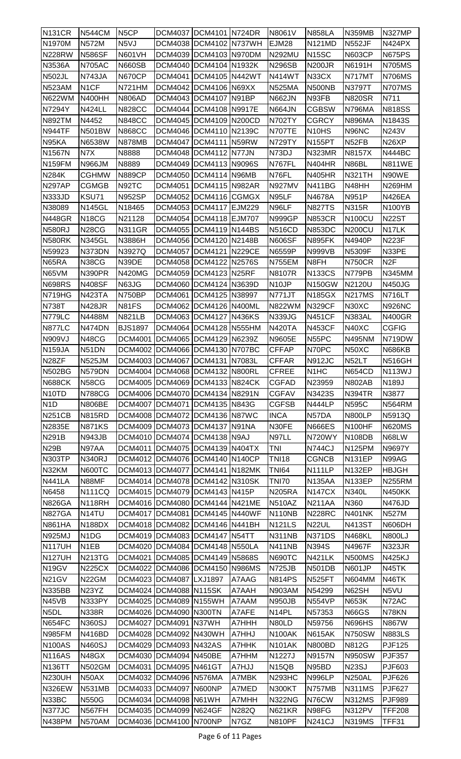| <b>N131CR</b>           | <b>N544CM</b>                 | N <sub>5</sub> CP | DCM4037  DCM4101   N724DR                        |                        |               | N8061V                         | <b>N858LA</b>                  | <b>N359MB</b>                  | <b>N327MP</b>                 |
|-------------------------|-------------------------------|-------------------|--------------------------------------------------|------------------------|---------------|--------------------------------|--------------------------------|--------------------------------|-------------------------------|
| N1970M                  | <b>N572M</b>                  | N <sub>5</sub> VJ |                                                  | DCM4038 DCM4102 N737WH |               | <b>EJM28</b>                   | <b>N121MD</b>                  | <b>N552JF</b>                  | <b>N424PX</b>                 |
| <b>N228RW</b>           | <b>N586SF</b>                 | <b>N601VH</b>     | DCM4039 DCM4103 N970DM                           |                        |               | <b>N292MU</b>                  | <b>N15SC</b>                   | <b>N603CP</b>                  | <b>N675PS</b>                 |
| N3536A                  | <b>N705AC</b>                 | <b>N660SB</b>     | DCM4040 DCM4104 N1932K                           |                        |               | <b>N296SB</b>                  | <b>N200JR</b>                  | N6191H                         | <b>N705MS</b>                 |
| <b>N502JL</b>           | <b>N743JA</b>                 | <b>N670CP</b>     | DCM4041 DCM4105 N442WT                           |                        |               | <b>N414WT</b>                  | N33CX                          | <b>N717MT</b>                  | <b>N706MS</b>                 |
| <b>N523AM</b>           | N <sub>1</sub> CF             | N721HM            | DCM4042 DCM4106 N69XX                            |                        |               | <b>N525MA</b>                  | N500NB                         | N3797T                         | <b>N707MS</b>                 |
| <b>N622WM</b>           | <b>N400HH</b>                 | <b>N806AD</b>     | DCM4043 DCM4107 N91BP                            |                        |               | <b>N662JN</b>                  | N93FB                          | <b>N820SR</b>                  | N711                          |
| <b>N7294Y</b>           | <b>N424LL</b>                 | <b>N828CC</b>     | DCM4044 DCM4108                                  |                        | <b>N9917E</b> | <b>N664JN</b>                  | <b>CGBSW</b>                   | <b>N796MA</b>                  | <b>N818SS</b>                 |
| <b>N892TM</b>           | N4452                         | <b>N848CC</b>     | DCM4045  DCM4109   N200CD                        |                        |               | <b>N702TY</b>                  | <b>CGRCY</b>                   | <b>N896MA</b>                  | N1843S                        |
| <b>N944TF</b>           | <b>N501BW</b>                 | <b>N868CC</b>     | DCM4046 DCM4110 N2139C                           |                        |               | <b>N707TE</b>                  | N <sub>10</sub> H <sub>S</sub> | N96NC                          | N243V                         |
| N95KA                   | N6538W                        | <b>N878MB</b>     | DCM4047 DCM4111 N59RW                            |                        |               | <b>N729TY</b>                  | <b>N155PT</b>                  | N <sub>52FB</sub>              | N <sub>26</sub> XP            |
| N1567N                  | N7X                           | N8888             |                                                  | DCM4048 DCM4112 N77JN  |               | N73DJ                          | <b>N323MR</b>                  | N8157X                         | <b>N444BC</b>                 |
| <b>N159FM</b>           | N966JM                        | N8889             | DCM4049  DCM4113  N9096S                         |                        |               | N767FL                         | N404HR                         | N86BL                          | <b>N811WE</b>                 |
| <b>N284K</b>            | <b>CGHMW</b>                  | <b>N889CP</b>     | DCM4050 DCM4114 N96MB                            |                        |               | N76FL                          | <b>N405HR</b>                  | <b>N321TH</b>                  | N90WE                         |
| <b>N297AP</b>           | <b>CGMGB</b>                  | N92TC             | DCM4051                                          | DCM4115 N982AR         |               | <b>N927MV</b>                  | <b>N411BG</b>                  | N48HH                          | N269HM                        |
| <b>N333JD</b>           | KSU71                         | <b>N952SP</b>     | DCM4052 DCM4116 CGMGX                            |                        |               | N95LF                          | N4678A                         | N951P                          | <b>N426EA</b>                 |
| N38089                  | <b>N145GL</b>                 | N18465            | DCM4053 DCM4117                                  |                        | <b>EJM229</b> | N96LF                          | <b>N827TS</b>                  | <b>N315R</b>                   | N100YB                        |
| <b>N448GR</b>           | <b>N18CG</b>                  | N21128            | DCM4054   DCM4118   EJM707                       |                        |               | <b>N999GP</b>                  | <b>N853CR</b>                  | <b>N100CU</b>                  | <b>N22ST</b>                  |
| <b>N580RJ</b>           | <b>N28CG</b>                  | <b>N311GR</b>     | DCM4055  DCM4119   N144BS                        |                        |               | <b>N516CD</b>                  | <b>N853DC</b>                  | <b>N200CU</b>                  | N <sub>17</sub> LK            |
| <b>N580RK</b>           | <b>N345GL</b>                 | N3886H            | DCM4056 DCM4120 N2148B                           |                        |               | <b>N606SF</b>                  | <b>N895FK</b>                  | N4940P                         | <b>N223F</b>                  |
| N59923                  | N373DN                        | N3927Q            | DCM4057 DCM4121 N229CE                           |                        |               | N6559P                         | <b>N999VB</b>                  | <b>N5309F</b>                  | N33PE                         |
| N65RA                   | N38CG                         | N39DE             | DCM4058 DCM4122                                  |                        | N2576S        | N755EM                         | N8FH                           | <b>N750CR</b>                  | N <sub>2</sub> F              |
| N65VM                   | <b>N390PR</b>                 | <b>N420MG</b>     | DCM4059 DCM4123 N25RF                            |                        |               | N8107R                         | <b>N133CS</b>                  | N779PB                         | <b>N345MM</b>                 |
| <b>N698RS</b>           | <b>N408SF</b>                 | N63JG             | DCM4060 DCM4124 N3639D                           |                        |               | N <sub>10</sub> JP             | <b>N150GW</b>                  | N2120U                         | <b>N450JG</b>                 |
| N719HG                  | <b>N423TA</b>                 | <b>N750BP</b>     | <b>DCM4061</b>                                   | DCM4125 N38997         |               | <b>N771JT</b>                  | <b>N185GX</b>                  | <b>N217MS</b>                  | <b>N716LT</b>                 |
| <b>N738T</b>            | <b>N428JR</b>                 | N81FS             | DCM4062 DCM4126 N400ML                           |                        |               | N822WM                         | <b>N329CF</b>                  | N30XC                          | <b>N926NC</b>                 |
| <b>N779LC</b>           | N4488M                        | <b>N821LB</b>     | DCM4063 DCM4127                                  |                        | <b>N436KS</b> | <b>N339JG</b>                  | <b>N451CF</b>                  | N383AL                         | <b>N400GR</b>                 |
| <b>N877LC</b>           | N474DN                        | <b>BJS1897</b>    | DCM4064 DCM4128 N555HM                           |                        |               | <b>N420TA</b>                  | <b>N453CF</b>                  | N40XC                          | <b>CGFIG</b>                  |
| N909VJ                  | N48CG                         | <b>DCM4001</b>    | DCM4065  DCM4129   N6239Z                        |                        |               | N9605E                         | N55PC                          | <b>N495NM</b>                  | N719DW                        |
| <b>N159JA</b>           | N51DN                         | DCM4002           | DCM4066 DCM4130 N707BC                           |                        |               | <b>CFFAP</b>                   | N70PC                          | N50XC                          | <b>N686KB</b>                 |
| N <sub>28</sub> ZF      | <b>N525JM</b>                 |                   | DCM4003 DCM4067 DCM4131 N7083L                   |                        |               | <b>CFFAR</b>                   | <b>N912JC</b>                  | N52LT                          | <b>N516GH</b>                 |
| <b>N502BG</b>           | N579DN                        |                   | DCM4004   DCM4068   DCM4132   N800RL             |                        |               | <b>CFREE</b>                   | N <sub>1</sub> H <sub>C</sub>  | <b>N654CD</b>                  | <b>N113WJ</b>                 |
| <b>N688CK</b>           | <b>N58CG</b>                  |                   | DCM4005 DCM4069 DCM4133 N824CK                   |                        |               | <b>CGFAD</b>                   | N23959                         | <b>N802AB</b>                  | N189J                         |
| N <sub>10</sub> TD      | <b>N788CG</b>                 |                   | DCM4006 DCM4070 DCM4134 N8291N                   |                        |               | <b>CGFAV</b>                   | N3423S                         | N394TR                         | N3877                         |
| N <sub>1</sub> D        | <b>N806BE</b>                 |                   | DCM4007 DCM4071 DCM4135 N843G                    |                        |               | <b>CGFSB</b>                   | <b>N444LP</b>                  | <b>N595C</b>                   | <b>N564RM</b>                 |
| <b>N251CB</b>           | <b>N815RD</b>                 |                   | DCM4008 DCM4072 DCM4136 N87WC                    |                        |               | <b>INCA</b>                    | N57DA                          | <b>N800LP</b>                  | N5913Q                        |
| <b>N2835E</b>           | <b>N871KS</b>                 |                   | DCM4009 DCM4073 DCM4137 N91NA                    |                        |               | N30FE                          | <b>N666ES</b>                  | N <sub>100</sub> HF            | <b>N620MS</b>                 |
| <b>N291B</b>            | <b>N943JB</b>                 |                   | DCM4010   DCM4074   DCM4138   N9AJ               |                        |               | N97LL                          | <b>N720WY</b>                  | <b>N108DB</b>                  | N68LW                         |
| <b>N29B</b>             | N97AA                         | DCM4011           | DCM4075   DCM4139   N404TX                       |                        |               | TNI                            | <b>N744CJ</b>                  | <b>N125PM</b>                  | N9697Y                        |
| <b>N303TP</b>           | <b>N340RJ</b>                 |                   | DCM4012   DCM4076   DCM4140   N140CP             |                        |               | <b>TNI18</b>                   | <b>CGNCB</b>                   | <b>N131EP</b>                  | N99AG                         |
| N32KM                   | <b>N600TC</b>                 |                   | DCM4013   DCM4077   DCM4141   N182MK             |                        |               | TNI64                          | <b>N111LP</b>                  | <b>N132EP</b>                  | <b>HBJGH</b>                  |
| <b>N441LA</b>           | N88MF                         |                   | DCM4014 DCM4078 DCM4142 N310SK                   |                        |               | <b>TNI70</b>                   | <b>N135AA</b>                  | <b>N133EP</b>                  | <b>N255RM</b>                 |
| N6458                   | <b>N111CQ</b>                 |                   | DCM4015   DCM4079   DCM4143   N415P              |                        |               | <b>N205RA</b>                  | <b>N147CX</b>                  | N340L                          | <b>N450KK</b>                 |
| <b>N826GA</b>           | <b>N118RH</b>                 |                   | DCM4016   DCM4080   DCM4144   N421ME             |                        |               | <b>N510AZ</b>                  | <b>N211AA</b>                  | N360                           | <b>N476JD</b>                 |
| <b>N827GA</b>           | N <sub>14</sub> TU            |                   | DCM4017   DCM4081   DCM4145   N440WF             |                        |               | <b>N110NB</b>                  | <b>N228RC</b>                  | <b>N401NK</b>                  | N527M                         |
| <b>N861HA</b>           | <b>N188DX</b>                 |                   | DCM4018 DCM4082 DCM4146 N441BH                   |                        |               | <b>N121LS</b>                  | N22UL                          | <b>N413ST</b>                  | N606DH                        |
| <b>N925MJ</b>           | N <sub>1</sub> D <sub>G</sub> |                   | DCM4019 DCM4083 DCM4147 N54TT                    |                        |               | <b>N311NB</b>                  | <b>N371DS</b>                  | <b>N468KL</b>                  | <b>N800LJ</b>                 |
| <b>N117UH</b>           | N <sub>1</sub> EB             |                   | DCM4020 DCM4084 DCM4148 N550LA                   |                        |               | <b>N411NB</b>                  | <b>N394S</b>                   | N4967F                         | <b>N323JR</b>                 |
| <b>N127UH</b>           | <b>N213TG</b>                 |                   | DCM4021 DCM4085 DCM4149 N5868S                   |                        |               | <b>N690TC</b>                  | <b>N421LK</b>                  | <b>N500MS</b>                  | <b>N425KJ</b>                 |
| N <sub>19</sub> GV      | <b>N225CX</b>                 |                   | DCM4022 DCM4086 DCM4150 N986MS                   |                        |               | N725JB                         | <b>N501DB</b>                  | <b>N601JP</b>                  | N45TK                         |
| <b>N21GV</b>            | N22GM                         |                   | DCM4023 DCM4087 LXJ1897                          |                        | A7AAG         | <b>N814PS</b>                  | <b>N525FT</b>                  | <b>N604MM</b>                  | N46TK                         |
| <b>N335BB</b>           | N <sub>23</sub> YZ            |                   | DCM4024 DCM4088 N115SK                           |                        | A7AAH         | <b>N903AM</b>                  | N54299                         | N62SH                          | N5VU                          |
| N45VB                   |                               |                   |                                                  |                        |               |                                |                                |                                |                               |
| N <sub>5</sub> DL       | N333PY                        |                   | DCM4025  DCM4089  N155WH                         |                        | A7AAM         | <b>N950JB</b>                  | <b>N554VP</b>                  | <b>N653K</b>                   | N72AC                         |
|                         | <b>N338R</b>                  |                   | DCM4026 DCM4090 N300TN                           |                        | A7AFE         | N <sub>14</sub> PL             | N57353                         | <b>N66GS</b>                   | N78KN                         |
| <b>N654FC</b>           | <b>N360SJ</b>                 |                   | DCM4027   DCM4091   N37WH                        |                        | A7HHH         | N80LD                          | N59756                         | <b>N696HS</b>                  | N867W                         |
| <b>N985FM</b>           | N416BD                        |                   | DCM4028  DCM4092  N430WH                         |                        | A7HHJ         | N100AK                         | <b>N615AK</b>                  | <b>N750SW</b>                  | <b>N883LS</b>                 |
| <b>N100AS</b>           | <b>N460SJ</b>                 |                   | DCM4029 DCM4093 N432AS                           |                        | A7HHK         | <b>N101AK</b>                  | <b>N800BD</b>                  | <b>N812G</b>                   | <b>PJF125</b>                 |
| <b>N116AS</b>           | N48GX                         | DCM4030           | DCM4094 N450BE                                   |                        | A7HHM         | N1227J                         | <b>N9157N</b>                  | <b>N950SW</b>                  | <b>PJF357</b>                 |
| <b>N136TT</b>           | <b>N502GM</b>                 |                   | DCM4031   DCM4095   N461GT                       |                        | A7HJJ         | N <sub>15QB</sub>              | N95BD                          | <b>N23SJ</b>                   | PJF603                        |
| <b>N230UH</b>           | N50AX                         |                   | DCM4032 DCM4096 N576MA                           |                        | A7MBK         | <b>N293HC</b>                  | <b>N996LP</b>                  | <b>N250AL</b>                  | <b>PJF626</b>                 |
| <b>N326EW</b>           | <b>N531MB</b>                 |                   | DCM4033 DCM4097 N600NP                           |                        | A7MED         | <b>N300KT</b>                  | <b>N757MB</b>                  | <b>N311MS</b>                  | <b>PJF627</b>                 |
| N33BC                   | <b>N550G</b>                  |                   | DCM4034 DCM4098 N61WH                            |                        | A7MHH         | <b>N322NG</b>                  | N76CW                          | <b>N312MS</b>                  | <b>PJF989</b>                 |
| N377JC<br><b>N438PM</b> | N567FH<br><b>N570AM</b>       |                   | DCM4035 DCM4099 N624GF<br>DCM4036 DCM4100 N700NP |                        | N282Q<br>N7GZ | <b>N621KR</b><br><b>N810PF</b> | N98FG<br><b>N241CJ</b>         | <b>N312PV</b><br><b>N319MS</b> | <b>TFF208</b><br><b>TFF31</b> |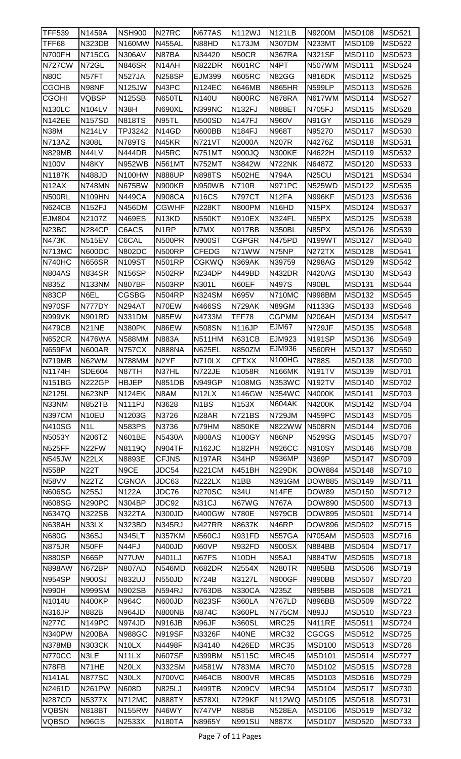| <b>TFF539</b>      | N1459A             | <b>NSH900</b>      | N <sub>27</sub> RC | <b>N677AS</b>       | <b>N112WJ</b>      | <b>N121LB</b>      | N9200M             | <b>MSD108</b> | <b>MSD521</b> |
|--------------------|--------------------|--------------------|--------------------|---------------------|--------------------|--------------------|--------------------|---------------|---------------|
| TFF68              | <b>N323DB</b>      | N160MW             | <b>N455AL</b>      | N88HD               | <b>N173JM</b>      | <b>N307DM</b>      | N233MT             | <b>MSD109</b> | <b>MSD522</b> |
| N700FH             | <b>N715CG</b>      | <b>N306AV</b>      | N87BA              | N34420              | N50CR              | <b>N367RA</b>      | <b>N321SF</b>      | <b>MSD110</b> | <b>MSD523</b> |
| <b>N727CW</b>      | N72GL              | <b>N846SR</b>      | N14AH              | <b>N822DR</b>       | <b>N601RC</b>      | N4PT               | <b>N507WM</b>      | MSD111        | <b>MSD524</b> |
| <b>N80C</b>        | N57FT              | <b>N527JA</b>      | <b>N258SP</b>      | <b>EJM399</b>       | <b>N605RC</b>      | <b>N82GG</b>       | <b>N816DK</b>      | <b>MSD112</b> | <b>MSD525</b> |
| <b>CGOHB</b>       | N98NF              | <b>N125JW</b>      | N43PC              | <b>N124EC</b>       | <b>N646MB</b>      | <b>N865HR</b>      | <b>N599LP</b>      | <b>MSD113</b> | <b>MSD526</b> |
| <b>CGOHI</b>       | <b>VQBSP</b>       | <b>N125SB</b>      | <b>N650TL</b>      | N140U               | <b>N800RC</b>      | <b>N878RA</b>      | <b>N617WM</b>      | <b>MSD114</b> | <b>MSD527</b> |
| <b>N130LC</b>      | <b>N104LV</b>      | N38H               | <b>N690XL</b>      | <b>N399NC</b>       | <b>N132FJ</b>      | <b>N888ET</b>      | N705FJ             | <b>MSD115</b> | <b>MSD528</b> |
| <b>N142EE</b>      | <b>N157SD</b>      | <b>N818TS</b>      | N95TL              | <b>N500SD</b>       | <b>N147FJ</b>      | N960V              | N91GY              | <b>MSD116</b> | <b>MSD529</b> |
| <b>N38M</b>        | <b>N214LV</b>      | TPJ3242            | N <sub>14</sub> GD | N600BB              | <b>N184FJ</b>      | N968T              | N95270             | <b>MSD117</b> | <b>MSD530</b> |
| N713AZ             | N308L              | <b>N789TS</b>      | N45KR              | <b>N721VT</b>       | N2000A             | <b>N207R</b>       | N4276Z             | <b>MSD118</b> | <b>MSD531</b> |
| <b>N829MB</b>      | N44LV              | N444DR             | N45RC              | <b>N751MT</b>       | <b>N900JQ</b>      | <b>N300KE</b>      | N4622H             | <b>MSD119</b> | <b>MSD532</b> |
| <b>N100V</b>       | N48KY              | <b>N952WB</b>      | <b>N561MT</b>      | <b>N752MT</b>       | N3842W             | <b>N722NK</b>      | N6487Z             | <b>MSD120</b> | <b>MSD533</b> |
| N1187K             | <b>N488JD</b>      | N100HW             | <b>N888UP</b>      | <b>N898TS</b>       | <b>N502HE</b>      | <b>N794A</b>       | N <sub>25</sub> CU | <b>MSD121</b> | <b>MSD534</b> |
| N <sub>12</sub> AX | <b>N748MN</b>      | <b>N675BW</b>      | N900KR             | <b>N950WB</b>       | N710R              | <b>N971PC</b>      | <b>N525WD</b>      | <b>MSD122</b> | <b>MSD535</b> |
| <b>N500RL</b>      | <b>N109HN</b>      | <b>N449CA</b>      | <b>N908CA</b>      | <b>N16CS</b>        | <b>N797CT</b>      | N <sub>12FA</sub>  | <b>N996KF</b>      | <b>MSD123</b> | <b>MSD536</b> |
| <b>N624CB</b>      | <b>N152FJ</b>      | <b>N456DM</b>      | <b>CGWHF</b>       | <b>N228KT</b>       | <b>N800PM</b>      | N <sub>16</sub> HD | N <sub>15</sub> PX | MSD124        | <b>MSD537</b> |
| <b>EJM804</b>      | N2107Z             | <b>N469ES</b>      | N <sub>13</sub> KD | <b>N550KT</b>       | <b>N910EX</b>      | <b>N324FL</b>      | N65PX              | <b>MSD125</b> | <b>MSD538</b> |
| N <sub>23</sub> BC | <b>N284CP</b>      | C6ACS              | N <sub>1</sub> RP  | N7MX                | <b>N917BB</b>      | <b>N350BL</b>      | N85PX              | <b>MSD126</b> | <b>MSD539</b> |
| <b>N473K</b>       | <b>N515EV</b>      | C6CAL              | <b>N500PR</b>      | <b>N900ST</b>       | <b>CGPGR</b>       | <b>N475PD</b>      | <b>N199WT</b>      | <b>MSD127</b> | <b>MSD540</b> |
| <b>N713MC</b>      | N600DC             | <b>N802DC</b>      | <b>N500RP</b>      | <b>CFEDG</b>        | N71WW              | N75NP              | <b>N272TX</b>      | <b>MSD128</b> | <b>MSD541</b> |
| N740HC             | <b>N656SR</b>      | N109ST             | <b>N501RP</b>      | <b>CGKWQ</b>        | <b>N369AK</b>      | N39759             | <b>N298AG</b>      | <b>MSD129</b> | <b>MSD542</b> |
| <b>N804AS</b>      | <b>N834SR</b>      | <b>N156SP</b>      | <b>N502RP</b>      | N234DP              | <b>N449BD</b>      | <b>N432DR</b>      | <b>N420AG</b>      | <b>MSD130</b> | <b>MSD543</b> |
| <b>N835Z</b>       | <b>N133NM</b>      | <b>N807BF</b>      | <b>N503RP</b>      | N301L               | N60EF              | N497S              | N90BL              | <b>MSD131</b> | <b>MSD544</b> |
| N83CP              | N6EL               | <b>CGSBG</b>       | <b>N504RP</b>      | <b>N324SM</b>       | N695V              | N710MC             | <b>N998BM</b>      | <b>MSD132</b> | <b>MSD545</b> |
| <b>N970SF</b>      | N777DY             | <b>N294AT</b>      | N70EW              | <b>N466SS</b>       | <b>N729AK</b>      | N89GM              | N1133G             | <b>MSD133</b> | <b>MSD546</b> |
| <b>N999VK</b>      | <b>N901RD</b>      | N331DM             | N85EW              | N4733M              | TFF78              | CGPMM              | <b>N206AH</b>      | <b>MSD134</b> | <b>MSD547</b> |
| <b>N479CB</b>      | N21NE              | <b>N380PK</b>      | N86EW              | <b>N508SN</b>       | <b>N116JP</b>      | EJM67              | <b>N729JF</b>      | <b>MSD135</b> | <b>MSD548</b> |
| <b>N652CR</b>      | <b>N476WA</b>      | <b>N588MM</b>      | <b>N883A</b>       | <b>N511HM</b>       | <b>N631CB</b>      | EJM923             | <b>N191SP</b>      | <b>MSD136</b> | <b>MSD549</b> |
| <b>N659FM</b>      | <b>N600AR</b>      | <b>N757CX</b>      | <b>N888NA</b>      | <b>N625EL</b>       | N850ZM             | EJM936             | <b>N560RH</b>      | <b>MSD137</b> | <b>MSD550</b> |
| <b>N719MB</b>      | N62WM              | N788MM             | N <sub>2</sub> YF  | <b>N710LX</b>       | <b>CFTXX</b>       | <b>N100HG</b>      | <b>N788S</b>       | <b>MSD138</b> | MSD700        |
| N1174H             | <b>SDE604</b>      | N87TH              | N37HL              | N722JE              | N1058R             | <b>N166MK</b>      | <b>N191TV</b>      | <b>MSD139</b> | <b>MSD701</b> |
| <b>N151BG</b>      | <b>N222GP</b>      | <b>HBJEP</b>       | <b>N851DB</b>      | <b>N949GP</b>       | <b>N108MG</b>      | <b>N353WC</b>      | <b>N192TV</b>      | <b>MSD140</b> | <b>MSD702</b> |
| N2125L             | <b>N623NP</b>      | <b>N124EK</b>      | N8AM               | N <sub>12L</sub> X  | <b>N146GW</b>      | <b>N354WC</b>      | N4000K             | <b>MSD141</b> | MSD703        |
| N33NM              | <b>N852TB</b>      | <b>N111PJ</b>      | N3628              | N <sub>1</sub> BS   | N153X              | <b>N604AK</b>      | N4200K             | <b>MSD142</b> | <b>MSD704</b> |
| <b>N397CM</b>      | N <sub>10</sub> EU | N1203G             | N3726              | N <sub>28</sub> AR  | <b>N721BS</b>      | <b>N729JM</b>      | <b>N459PC</b>      | <b>MSD143</b> | <b>MSD705</b> |
| <b>N410SG</b>      | N <sub>1</sub>     | <b>N583PS</b>      | N3736              | N79HM               | <b>N850KE</b>      | <b>N822WW</b>      | <b>N508RN</b>      | MSD144        | <b>MSD706</b> |
| N5053Y             | N206TZ             | <b>N601BE</b>      | <b>N5430A</b>      | <b>N808AS</b>       | <b>N100GY</b>      | N86NP              | <b>N529SG</b>      | <b>MSD145</b> | <b>MSD707</b> |
| <b>N525FF</b>      | N22FW              | N8119Q             | <b>N904TF</b>      | N162JC              | <b>N182PH</b>      | <b>N926CC</b>      | <b>N910SY</b>      | <b>MSD146</b> | <b>MSD708</b> |
| <b>N545JW</b>      | N <sub>22</sub> LX | N8893E             | <b>CFJNS</b>       | N <sub>197</sub> AR | N34HP              | <b>N936MP</b>      | <b>N369P</b>       | <b>MSD147</b> | <b>MSD709</b> |
| <b>N558P</b>       | <b>N22T</b>        | N9CE               | JDC54              | <b>N221CM</b>       | <b>N451BH</b>      | <b>N229DK</b>      | <b>DOW884</b>      | <b>MSD148</b> | <b>MSD710</b> |
| <b>N58VV</b>       | N <sub>22</sub> TZ | <b>CGNOA</b>       | JDC63              | <b>N222LX</b>       | N <sub>1</sub> BB  | N391GM             | <b>DOW885</b>      | <b>MSD149</b> | <b>MSD711</b> |
| <b>N606SG</b>      | <b>N25SJ</b>       | <b>N122A</b>       | JDC76              | <b>N270SC</b>       | <b>N34U</b>        | N14FE              | <b>DOW89</b>       | <b>MSD150</b> | <b>MSD712</b> |
| <b>N608SG</b>      | <b>N290PC</b>      | <b>N304BP</b>      | JDC92              | N31CJ               | N67WG              | <b>N767A</b>       | <b>DOW890</b>      | <b>MSD500</b> | MSD713        |
| N6347Q             | <b>N322SB</b>      | <b>N322TA</b>      | <b>N300JD</b>      | N400GW              | <b>N780E</b>       | <b>N979CB</b>      | <b>DOW895</b>      | <b>MSD501</b> | <b>MSD714</b> |
| <b>N638AH</b>      | N33LX              | N323BD             | <b>N345RJ</b>      | <b>N427RR</b>       | N8637K             | N46RP              | <b>DOW896</b>      | <b>MSD502</b> | <b>MSD715</b> |
| <b>N680G</b>       | <b>N36SJ</b>       | <b>N345LT</b>      | <b>N357KM</b>      | <b>N560CJ</b>       | <b>N931FD</b>      | <b>N557GA</b>      | <b>N705AM</b>      | <b>MSD503</b> | <b>MSD716</b> |
| <b>N875JR</b>      | N50FF              | N44FJ              | N400JD             | N60VP               | <b>N932FD</b>      | <b>N900SX</b>      | <b>N884BB</b>      | <b>MSD504</b> | <b>MSD717</b> |
| <b>N880SP</b>      | <b>N665P</b>       | N77UW              | <b>N401LJ</b>      | N67FS               | N <sub>10</sub> DH | N95AJ              | <b>N884TW</b>      | <b>MSD505</b> | <b>MSD718</b> |
| <b>N898AW</b>      | <b>N672BP</b>      | <b>N807AD</b>      | <b>N546MD</b>      | N682DR              | N2554X             | <b>N280TR</b>      | <b>N885BB</b>      | <b>MSD506</b> | <b>MSD719</b> |
| <b>N954SP</b>      | <b>N900SJ</b>      | <b>N832UJ</b>      | <b>N550JD</b>      | <b>N724B</b>        | N3127L             | <b>N900GF</b>      | <b>N890BB</b>      | <b>MSD507</b> | <b>MSD720</b> |
| <b>N990H</b>       | <b>N999SM</b>      | <b>N902SB</b>      | <b>N594RJ</b>      | <b>N763DB</b>       | <b>N330CA</b>      | N235Z              | <b>N895BB</b>      | <b>MSD508</b> | <b>MSD721</b> |
| N1014U             | <b>N400KP</b>      | N964C              | N600JD             | <b>N823SF</b>       | <b>N360LA</b>      | <b>N767LD</b>      | <b>N896BB</b>      | <b>MSD509</b> | <b>MSD722</b> |
| <b>N316JP</b>      | <b>N882B</b>       | <b>N964JD</b>      | N800NB             | <b>N874C</b>        | N360PL             | <b>N775CM</b>      | <b>N89JJ</b>       | <b>MSD510</b> | <b>MSD723</b> |
| <b>N277C</b>       | <b>N149PC</b>      | <b>N974JD</b>      | <b>N916JB</b>      | N96JF               | <b>N360SL</b>      | MRC <sub>25</sub>  | <b>N411RE</b>      | <b>MSD511</b> | <b>MSD724</b> |
| N340PW             | <b>N200BA</b>      | <b>N988GC</b>      | <b>N919SF</b>      | N3326F              | N40NE              | MRC32              | CGCGS              | <b>MSD512</b> | <b>MSD725</b> |
| <b>N378MB</b>      | <b>N303CK</b>      | N <sub>10</sub> LX | N4498F             | N34140              | <b>N426ED</b>      | MRC35              | <b>MSD100</b>      | <b>MSD513</b> | <b>MSD726</b> |
| <b>N770CC</b>      | N3LE               | N <sub>11</sub> LX | <b>N607SF</b>      | <b>N399BM</b>       | N5115C             | MRC45              | <b>MSD101</b>      | <b>MSD514</b> | <b>MSD727</b> |
| N78FB              | N71HE              | N20LX              | <b>N332SM</b>      | N4581W              | <b>N783MA</b>      | MRC70              | <b>MSD102</b>      | MSD515        | <b>MSD728</b> |
| <b>N141AL</b>      | <b>N877SC</b>      | N30LX              | <b>N700VC</b>      | <b>N464CB</b>       | <b>N800VR</b>      | <b>MRC85</b>       | <b>MSD103</b>      | <b>MSD516</b> | <b>MSD729</b> |
| N2461D             | <b>N261PW</b>      | <b>N608D</b>       | <b>N825LJ</b>      | <b>N499TB</b>       | <b>N209CV</b>      | MRC94              | <b>MSD104</b>      | MSD517        | <b>MSD730</b> |
| <b>N287CD</b>      | <b>N5377X</b>      | <b>N712MC</b>      | <b>N888TY</b>      | <b>N578XL</b>       | <b>N729KF</b>      | N112WQ             | <b>MSD105</b>      | <b>MSD518</b> | MSD731        |
| <b>VQBSN</b>       | <b>N818BT</b>      | <b>N155RW</b>      | N46WY              | <b>N747VP</b>       | <b>N885B</b>       | <b>N528EA</b>      | <b>MSD106</b>      | <b>MSD519</b> | <b>MSD732</b> |
| <b>VQBSO</b>       | <b>N96GS</b>       | N2533X             | N180TA             | N8965Y              | <b>N991SU</b>      | <b>N887X</b>       | <b>MSD107</b>      | <b>MSD520</b> | <b>MSD733</b> |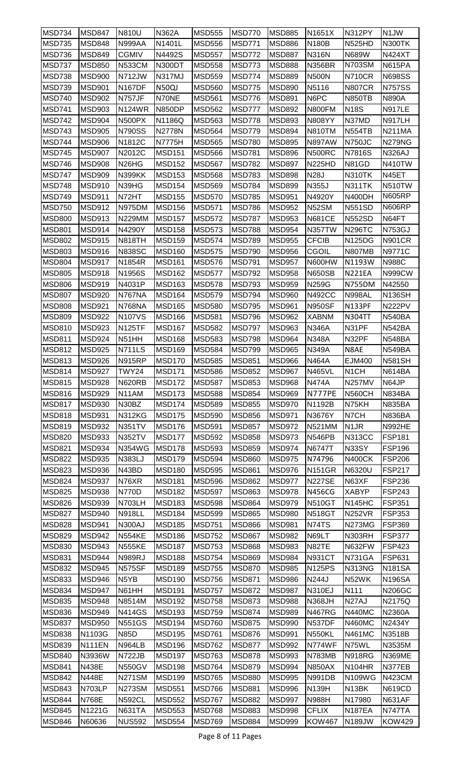| MSD734                         | <b>MSD847</b>    | <b>N810U</b>                   | <b>N362A</b>                   | <b>MSD555</b>                  | <b>MSD770</b>                  | <b>MSD885</b>                  | N1651X                        | <b>N312PY</b>                  | N <sub>1</sub> JW       |
|--------------------------------|------------------|--------------------------------|--------------------------------|--------------------------------|--------------------------------|--------------------------------|-------------------------------|--------------------------------|-------------------------|
| <b>MSD735</b>                  | <b>MSD848</b>    | <b>N999AA</b>                  | N1401L                         | <b>MSD556</b>                  | <b>MSD771</b>                  | <b>MSD886</b>                  | <b>N180B</b>                  | <b>N525HD</b>                  | <b>N300TK</b>           |
| MSD736                         | <b>MSD849</b>    | <b>CGMIV</b>                   | N4492S                         | <b>MSD557</b>                  | <b>MSD772</b>                  | <b>MSD887</b>                  | <b>N316N</b>                  | N689W                          | N424XT                  |
| <b>MSD737</b>                  | <b>MSD850</b>    | <b>N533CM</b>                  | N300DT                         | <b>MSD558</b>                  | <b>MSD773</b>                  | <b>MSD888</b>                  | <b>N356BR</b>                 | N703SM                         | <b>N615PA</b>           |
| <b>MSD738</b>                  | <b>MSD900</b>    | <b>N712JW</b>                  | <b>N317MJ</b>                  | <b>MSD559</b>                  | <b>MSD774</b>                  | <b>MSD889</b>                  | <b>N500N</b>                  | <b>N710CR</b>                  | <b>N698SS</b>           |
| <b>MSD739</b>                  | <b>MSD901</b>    | <b>N167DF</b>                  | N50QJ                          | <b>MSD560</b>                  | <b>MSD775</b>                  | <b>MSD890</b>                  | N5116                         | <b>N807CR</b>                  | <b>N757SS</b>           |
| <b>MSD740</b>                  | <b>MSD902</b>    | <b>N757JF</b>                  | N70NE                          | <b>MSD561</b>                  | <b>MSD776</b>                  | <b>MSD891</b>                  | N6PC                          | <b>N850TB</b>                  | <b>N890A</b>            |
| <b>MSD741</b>                  | MSD903           | <b>N124WR</b>                  | <b>N850DP</b>                  | <b>MSD562</b>                  | MSD777                         | <b>MSD892</b>                  | N800FM                        | <b>N18S</b>                    | <b>N917LE</b>           |
| <b>MSD742</b>                  | <b>MSD904</b>    | <b>N500PX</b>                  | N1186Q                         | <b>MSD563</b>                  | <b>MSD778</b>                  | <b>MSD893</b>                  | <b>N808YY</b>                 | N37MD                          | <b>N917LH</b>           |
| <b>MSD743</b>                  | <b>MSD905</b>    | <b>N790SS</b>                  | <b>N2778N</b>                  | <b>MSD564</b>                  | <b>MSD779</b>                  | <b>MSD894</b>                  | <b>N810TM</b>                 | N554TB                         | <b>N211MA</b>           |
| MSD744                         | MSD906           | N1812C                         | N7775H                         | <b>MSD565</b>                  | <b>MSD780</b>                  | <b>MSD895</b>                  | <b>N897AW</b>                 | N750JC                         | N279NG                  |
| <b>MSD745</b>                  | <b>MSD907</b>    | N2012C                         | <b>MSD151</b>                  | MSD566                         | <b>MSD781</b>                  | <b>MSD896</b>                  | <b>N500RC</b>                 | N7816S                         | <b>N326AJ</b>           |
| MSD746                         | <b>MSD908</b>    | N <sub>26</sub> H <sub>G</sub> | <b>MSD152</b>                  | <b>MSD567</b>                  | <b>MSD782</b>                  | <b>MSD897</b>                  | <b>N225HD</b>                 | N81GD                          | <b>N410TW</b>           |
| <b>MSD747</b>                  | <b>MSD909</b>    | <b>N399KK</b>                  | <b>MSD153</b>                  | <b>MSD568</b>                  | <b>MSD783</b>                  | <b>MSD898</b>                  | <b>N28J</b>                   | <b>N310TK</b>                  | N45ET                   |
| <b>MSD748</b>                  | <b>MSD910</b>    | N39HG                          | <b>MSD154</b>                  | <b>MSD569</b>                  | <b>MSD784</b>                  | <b>MSD899</b>                  | N355J                         | <b>N311TK</b>                  | <b>N510TW</b>           |
| <b>MSD749</b>                  | <b>MSD911</b>    | N72HT                          | <b>MSD155</b>                  | <b>MSD570</b>                  | <b>MSD785</b>                  | <b>MSD951</b>                  | N4920Y                        | N400DH                         | <b>N605RP</b>           |
| <b>MSD750</b>                  | <b>MSD912</b>    | <b>N975DM</b>                  | <b>MSD156</b>                  | <b>MSD571</b>                  | <b>MSD786</b>                  | <b>MSD952</b>                  | N52SM                         | <b>N551SD</b>                  | <b>N606RP</b>           |
| <b>MSD800</b>                  | <b>MSD913</b>    | <b>N229MM</b>                  | <b>MSD157</b>                  | <b>MSD572</b>                  | <b>MSD787</b>                  | <b>MSD953</b>                  | <b>N681CE</b>                 | <b>N552SD</b>                  | N64FT                   |
| <b>MSD801</b>                  | <b>MSD914</b>    | N4290Y                         | <b>MSD158</b>                  | <b>MSD573</b>                  | <b>MSD788</b>                  | <b>MSD954</b>                  | <b>N357TW</b>                 | <b>N296TC</b>                  | <b>N753GJ</b>           |
| <b>MSD802</b>                  | <b>MSD915</b>    | <b>N818TH</b>                  | <b>MSD159</b>                  | <b>MSD574</b>                  | <b>MSD789</b>                  | <b>MSD955</b>                  | <b>CFCIB</b>                  | <b>N125DG</b>                  | <b>N901CR</b>           |
| <b>MSD803</b>                  | MSD916           | <b>N838SC</b>                  | <b>MSD160</b>                  | <b>MSD575</b>                  | <b>MSD790</b>                  | <b>MSD956</b>                  | CGOIL                         | <b>N807MB</b>                  | N9771C                  |
| <b>MSD804</b>                  | MSD917           | N1854R                         | <b>MSD161</b>                  | <b>MSD576</b>                  | <b>MSD791</b>                  | <b>MSD957</b>                  | N600HW                        | N1193W                         | <b>N988C</b>            |
| <b>MSD805</b>                  | <b>MSD918</b>    | N1956S                         | <b>MSD162</b>                  | <b>MSD577</b>                  | <b>MSD792</b>                  | <b>MSD958</b>                  | <b>N650SB</b>                 | <b>N221EA</b>                  | N999CW                  |
| <b>MSD806</b>                  | <b>MSD919</b>    | N4031P                         | <b>MSD163</b>                  | <b>MSD578</b>                  | <b>MSD793</b>                  | <b>MSD959</b>                  | N259G                         | <b>N755DM</b>                  | N42550                  |
| <b>MSD807</b>                  | <b>MSD920</b>    | <b>N767NA</b>                  | <b>MSD164</b>                  | <b>MSD579</b>                  | <b>MSD794</b>                  | <b>MSD960</b>                  | <b>N492CC</b>                 | <b>N998AL</b>                  | <b>N136SH</b>           |
| <b>MSD808</b>                  | <b>MSD921</b>    | <b>N768NA</b>                  | <b>MSD165</b>                  | <b>MSD580</b>                  | <b>MSD795</b>                  | <b>MSD961</b>                  | <b>N950SF</b>                 | <b>N133PF</b>                  | <b>N222PV</b>           |
| <b>MSD809</b>                  | <b>MSD922</b>    | <b>N107VS</b>                  | <b>MSD166</b>                  | <b>MSD581</b>                  | <b>MSD796</b>                  | <b>MSD962</b>                  | <b>XABNM</b>                  | <b>N304TT</b>                  | <b>N540BA</b>           |
| <b>MSD810</b>                  | MSD923           | <b>N125TF</b>                  | <b>MSD167</b>                  | <b>MSD582</b>                  | <b>MSD797</b>                  | <b>MSD963</b>                  | <b>N346A</b>                  | N31PF                          | <b>N542BA</b>           |
| <b>MSD811</b>                  | <b>MSD924</b>    | N51HH                          | <b>MSD168</b>                  | <b>MSD583</b>                  | <b>MSD798</b>                  | <b>MSD964</b>                  | <b>N348A</b>                  | N32PF                          | <b>N548BA</b>           |
| <b>MSD812</b>                  | MSD925           | <b>N711LS</b>                  | <b>MSD169</b>                  | <b>MSD584</b>                  | <b>MSD799</b>                  | <b>MSD965</b>                  | <b>N349A</b>                  | N8AE                           | <b>N549BA</b>           |
| <b>MSD813</b>                  | <b>MSD926</b>    | <b>N915RP</b>                  | <b>MSD170</b>                  | <b>MSD585</b>                  | <b>MSD851</b>                  | MSD966                         | <b>N464A</b>                  | <b>EJM400</b>                  | <b>N581SH</b>           |
| MSD814                         | <b>MSD927</b>    | <b>TWY24</b>                   | MSD171                         | <b>MSD586</b>                  | <b>MSD852</b>                  | <b>MSD967</b>                  | <b>N465VL</b>                 | N <sub>1</sub> CH              | <b>N614BA</b>           |
| <b>MSD815</b>                  | <b>MSD928</b>    | <b>N620RB</b>                  | <b>MSD172</b>                  | <b>MSD587</b>                  | <b>MSD853</b>                  | <b>MSD968</b>                  | <b>N474A</b>                  | <b>N257MV</b>                  | N64JP                   |
| <b>MSD816</b>                  | <b>MSD929</b>    | N11AM                          | <b>MSD173</b>                  | <b>MSD588</b>                  | <b>MSD854</b>                  | <b>MSD969</b>                  | N777PE                        | <b>N560CH</b>                  | <b>N834BA</b>           |
| <b>MSD817</b>                  | <b>MSD930</b>    | N30BZ                          | <b>MSD174</b>                  | <b>MSD589</b>                  | <b>MSD855</b>                  | <b>MSD970</b>                  | N1192B                        | N75KH                          | <b>N835BA</b>           |
| <b>MSD818</b>                  | <b>MSD931</b>    | <b>N312KG</b>                  | <b>MSD175</b>                  | <b>MSD590</b>                  | <b>MSD856</b>                  | <b>MSD971</b>                  | N3676Y                        | N7CH                           | <b>N836BA</b>           |
| <b>MSD819</b>                  | <b>MSD932</b>    | <b>N351TV</b>                  | <b>MSD176</b>                  | <b>MSD591</b>                  | <b>MSD857</b>                  | <b>MSD972</b>                  | <b>N521MM</b>                 | N <sub>1</sub> JR              | <b>N992HE</b>           |
| <b>MSD820</b>                  | <b>MSD933</b>    | <b>N352TV</b>                  | <b>MSD177</b>                  | <b>MSD592</b>                  | <b>MSD858</b>                  | <b>MSD973</b>                  | <b>N546PB</b>                 | <b>N313CC</b>                  | <b>FSP181</b>           |
| <b>MSD821</b>                  | <b>MSD934</b>    | N354WG                         | <b>MSD178</b>                  | <b>MSD593</b>                  | <b>MSD859</b>                  | <b>MSD974</b>                  | N6747T                        | N33SY                          | <b>FSP196</b>           |
| <b>MSD822</b>                  | <b>MSD935</b>    | N383LJ                         | <b>MSD179</b>                  | <b>MSD594</b>                  | <b>MSD860</b>                  | <b>MSD975</b>                  | N74796                        | <b>N400CK</b>                  | <b>FSP206</b>           |
| <b>MSD823</b>                  | <b>MSD936</b>    | N43BD                          | <b>MSD180</b>                  | <b>MSD595</b>                  | <b>MSD861</b>                  | <b>MSD976</b>                  | <b>N151GR</b>                 | N6320U                         | <b>FSP217</b>           |
| <b>MSD824</b>                  | <b>MSD937</b>    | N76XR                          | <b>MSD181</b>                  | <b>MSD596</b>                  | <b>MSD862</b>                  | <b>MSD977</b>                  | <b>N227SE</b>                 | N63XF                          | <b>FSP236</b>           |
| <b>MSD825</b>                  | <b>MSD938</b>    | <b>N770D</b>                   | <b>MSD182</b>                  | <b>MSD597</b>                  | <b>MSD863</b>                  | MSD978                         | <b>N456CG</b>                 | <b>XABYP</b>                   | <b>FSP243</b>           |
| <b>MSD826</b>                  | <b>MSD939</b>    | <b>N703LH</b>                  | <b>MSD183</b>                  | <b>MSD598</b>                  | <b>MSD864</b>                  | <b>MSD979</b>                  | <b>N510GT</b>                 | N145HC                         | <b>FSP351</b>           |
| <b>MSD827</b>                  | <b>MSD940</b>    | <b>N918LL</b>                  | <b>MSD184</b>                  | <b>MSD599</b>                  | <b>MSD865</b>                  | <b>MSD980</b>                  | <b>N518GT</b>                 | <b>N252VR</b>                  | <b>FSP353</b>           |
| <b>MSD828</b>                  | MSD941           | <b>N300AJ</b>                  | <b>MSD185</b>                  | <b>MSD751</b>                  | <b>MSD866</b>                  | <b>MSD981</b>                  | <b>N74TS</b>                  | <b>N273MG</b>                  | <b>FSP369</b>           |
| <b>MSD829</b>                  | <b>MSD942</b>    | <b>N554KE</b>                  | <b>MSD186</b>                  | <b>MSD752</b>                  | <b>MSD867</b>                  | <b>MSD982</b>                  | N69LT                         | N303RH                         | <b>FSP377</b>           |
| <b>MSD830</b>                  | <b>MSD943</b>    | <b>N555KE</b>                  | <b>MSD187</b>                  | <b>MSD753</b>                  | <b>MSD868</b>                  | <b>MSD983</b>                  | N82TE                         | N632FW                         | <b>FSP423</b>           |
| <b>MSD831</b>                  | <b>MSD944</b>    | <b>N989RJ</b>                  | <b>MSD188</b>                  | <b>MSD754</b>                  | <b>MSD869</b>                  | <b>MSD984</b>                  | <b>N931CT</b>                 | <b>N731GA</b>                  | <b>FSP631</b>           |
| <b>MSD832</b>                  | <b>MSD945</b>    | <b>N575SF</b>                  | <b>MSD189</b>                  | <b>MSD755</b>                  | <b>MSD870</b>                  | <b>MSD985</b>                  | <b>N125PS</b>                 | <b>N313NG</b>                  | <b>N181SA</b>           |
| <b>MSD833</b>                  | <b>MSD946</b>    | N <sub>5</sub> YB              | <b>MSD190</b>                  | <b>MSD756</b>                  | <b>MSD871</b>                  | <b>MSD986</b>                  | <b>N244J</b>                  | N52WK                          | <b>N196SA</b>           |
| <b>MSD834</b>                  | MSD947           | N61HH                          | <b>MSD191</b>                  | <b>MSD757</b>                  | <b>MSD872</b>                  | <b>MSD987</b>                  | <b>N310EJ</b>                 | N111                           | <b>N206GC</b>           |
| <b>MSD835</b>                  | <b>MSD948</b>    | N8514M                         | <b>MSD192</b>                  | <b>MSD758</b>                  | <b>MSD873</b>                  | <b>MSD988</b>                  | N368JH                        | N <sub>27</sub> AJ             | N2175Q                  |
| <b>MSD836</b>                  | <b>MSD949</b>    | <b>N414GS</b>                  | <b>MSD193</b>                  | <b>MSD759</b>                  | <b>MSD874</b>                  | <b>MSD989</b>                  | <b>N467RG</b>                 | <b>N440MC</b>                  | N2360A                  |
| <b>MSD837</b>                  | <b>MSD950</b>    | <b>N551GS</b>                  | <b>MSD194</b>                  | <b>MSD760</b>                  | <b>MSD875</b>                  | <b>MSD990</b>                  | N537DF                        | <b>N460MC</b>                  | N2434Y                  |
| <b>MSD838</b>                  | N1103G           | <b>N85D</b>                    | <b>MSD195</b>                  | <b>MSD761</b>                  | <b>MSD876</b>                  | <b>MSD991</b>                  | <b>N550KL</b>                 | <b>N461MC</b>                  | N3518B                  |
| <b>MSD839</b>                  | <b>N111EN</b>    | <b>N964LB</b>                  | <b>MSD196</b>                  | <b>MSD762</b>                  | <b>MSD877</b>                  | <b>MSD992</b>                  | N774WF                        | N75WL                          | N3535M                  |
| <b>MSD840</b>                  | N3936W           | <b>N722JB</b>                  | <b>MSD197</b>                  | <b>MSD763</b>                  | <b>MSD878</b>                  | MSD993                         | <b>N783MB</b>                 | <b>N918RG</b>                  | <b>N369ME</b>           |
| <b>MSD841</b>                  |                  |                                |                                |                                |                                |                                |                               |                                | N377EB                  |
|                                | <b>N438E</b>     | <b>N550GV</b>                  | <b>MSD198</b>                  | <b>MSD764</b>                  | <b>MSD879</b>                  | <b>MSD994</b>                  | <b>N850AX</b>                 | <b>N104HR</b>                  |                         |
| <b>MSD842</b>                  | <b>N448E</b>     | <b>N271SM</b>                  | <b>MSD199</b>                  | <b>MSD765</b>                  | <b>MSD880</b>                  | <b>MSD995</b>                  | <b>N991DB</b>                 | N109WG                         | <b>N423CM</b>           |
| <b>MSD843</b>                  | <b>N703LP</b>    | <b>N273SM</b>                  | <b>MSD551</b>                  | <b>MSD766</b>                  | <b>MSD881</b>                  | <b>MSD996</b>                  | <b>N139H</b>                  | N13BK                          | <b>N619CD</b>           |
| MSD844                         | <b>N768E</b>     | <b>N592CL</b>                  | <b>MSD552</b>                  | <b>MSD767</b>                  | <b>MSD882</b>                  | <b>MSD997</b>                  | <b>N988H</b>                  | N17980                         | <b>N631AF</b>           |
| <b>MSD845</b><br><b>MSD846</b> | N1221G<br>N60636 | <b>N631TA</b><br><b>NUS592</b> | <b>MSD553</b><br><b>MSD554</b> | <b>MSD768</b><br><b>MSD769</b> | <b>MSD883</b><br><b>MSD884</b> | <b>MSD998</b><br><b>MSD999</b> | <b>CFLIX</b><br><b>KOW467</b> | <b>N187EA</b><br><b>N189JW</b> | N747TA<br><b>KOW429</b> |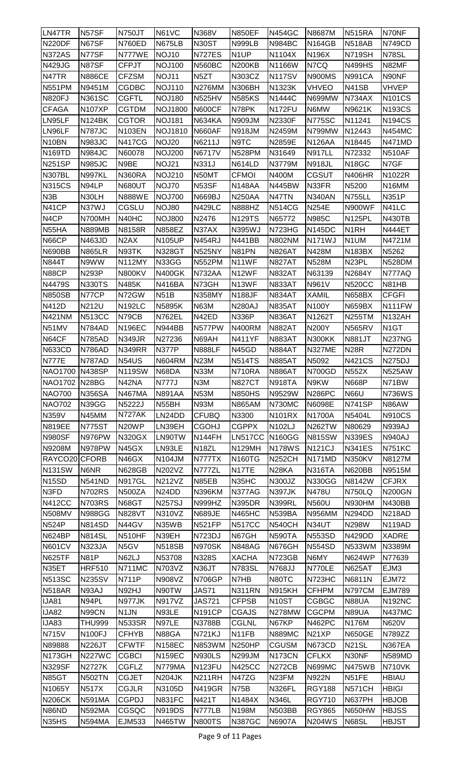| LN47TR                 | N57SF                          | <b>N750JT</b>                | N61VC                          | N368V              | <b>N850EF</b>      | <b>N454GC</b>      | N8687M             | <b>N515RA</b>      | N70NF             |
|------------------------|--------------------------------|------------------------------|--------------------------------|--------------------|--------------------|--------------------|--------------------|--------------------|-------------------|
| <b>N220DF</b>          | N67SF                          | <b>N760ED</b>                | <b>N675LB</b>                  | N30ST              | <b>N999LB</b>      | <b>N984BC</b>      | <b>N164GB</b>      | <b>N518AB</b>      | <b>N749CD</b>     |
| <b>N372AS</b>          | N77SF                          | N777WE                       | NOJ10                          | <b>N727ES</b>      | N <sub>1</sub> UP  | N1104X             | N196X              | <b>N719SH</b>      | N78SL             |
| N429JG                 | N87SF                          | <b>CFPJT</b>                 | <b>NOJ100</b>                  | <b>N560BC</b>      | <b>N200KB</b>      | N1166W             | N7CQ               | <b>N499HS</b>      | N82MF             |
| N47TR                  | <b>N886CE</b>                  | <b>CFZSM</b>                 | NOJ11                          | N <sub>5</sub> ZT  | N303CZ             | <b>N117SV</b>      | <b>N900MS</b>      | <b>N991CA</b>      | N90NF             |
| <b>N551PM</b>          | N9451M                         | <b>CGDBC</b>                 | <b>NOJ110</b>                  | <b>N276MM</b>      | <b>N306BH</b>      | N1323K             | VHVEO              | N41SB              | VHVEP             |
| <b>N820FJ</b>          | <b>N361SC</b>                  | <b>CGFTL</b>                 | <b>NOJ180</b>                  | <b>N525HV</b>      | <b>N585KS</b>      | N1444C             | <b>N699MW</b>      | N734AX             | <b>N101CS</b>     |
| <b>CFAGA</b>           | <b>N107XP</b>                  | <b>CGTDM</b>                 | <b>NOJ1800</b>                 | <b>N600CF</b>      | N78PK              | <b>N172FU</b>      | N6MW               | N9621K             | <b>N193CS</b>     |
| LN95LF                 | <b>N124BK</b>                  | <b>CGTOR</b>                 | <b>NOJ181</b>                  | <b>N634KA</b>      | <b>N909JM</b>      | N2330F             | <b>N775SC</b>      | N11241             | <b>N194CS</b>     |
| LN96LF                 | <b>N787JC</b>                  | <b>N103EN</b>                | <b>NOJ1810</b>                 | <b>N660AF</b>      | <b>N918JM</b>      | N2459M             | N799MW             | N12443             | <b>N454MC</b>     |
| N <sub>10</sub> BN     | <b>N983JC</b>                  | <b>N417CG</b>                | NOJ20                          | N6211J             | N9TC               | N2859E             | <b>N126AA</b>      | N18445             | <b>N471MD</b>     |
| <b>N169TD</b>          | <b>N984JC</b>                  | N60078                       | <b>NOJ200</b>                  | <b>N6717V</b>      | <b>N528PM</b>      | N31649             | <b>N917LL</b>      | N72332             | <b>N510AF</b>     |
| <b>N251SP</b>          | <b>N985JC</b>                  | N9BE                         | NOJ21                          | N331J              | <b>N614LD</b>      | N3779M             | <b>N918JL</b>      | N <sub>18</sub> GC | N7GF              |
| <b>N307BL</b>          | <b>N997KL</b>                  | <b>N360RA</b>                | <b>NOJ210</b>                  | N50MT              | <b>CFMOI</b>       | N400M              | <b>CGSUT</b>       | <b>N406HR</b>      | N1022R            |
| <b>N315CS</b>          | N94LP                          | <b>N680UT</b>                | NOJ70                          | N53SF              | <b>N148AA</b>      | <b>N445BW</b>      | N33FR              | N5200              | N16MM             |
| N <sub>3</sub> B       | N30LH                          | <b>N888WE</b>                | <b>NOJ700</b>                  | N669BJ             | <b>N250AA</b>      | N47TN              | <b>N340AN</b>      | <b>N755LL</b>      | N351P             |
| N41CP                  | N37WJ                          | CGSLU                        | NOJ80                          | <b>N429LC</b>      | <b>N888HZ</b>      | <b>N514CG</b>      | <b>N254E</b>       | <b>N900WF</b>      | N41LC             |
| N <sub>4</sub> CP      | N700MH                         | N40HC                        | <b>NOJ800</b>                  | N2476              | <b>N129TS</b>      | N65772             | <b>N985C</b>       | <b>N125PL</b>      | <b>N430TB</b>     |
| N55HA                  | <b>N889MB</b>                  | N8158R                       | <b>N858EZ</b>                  | N37AX              | N395WJ             | N723HG             | <b>N145DC</b>      | N <sub>1</sub> RH  | <b>N444ET</b>     |
| N66CP                  | <b>N463JD</b>                  | N <sub>2</sub> AX            | <b>N105UP</b>                  | <b>N454RJ</b>      | <b>N441BB</b>      | <b>N802NM</b>      | <b>N171WJ</b>      | N1UM               | N4721M            |
| <b>N690BB</b>          | <b>N865LR</b>                  | N93TK                        | <b>N328GT</b>                  | <b>N525NY</b>      | N81PN              | <b>N826AT</b>      | N428M              | <b>N183BX</b>      | N5262             |
| <b>N844T</b>           | N9WW                           | <b>N112MY</b>                | N33GG                          | <b>N552PM</b>      | N11WF              | <b>N827AT</b>      | <b>N528M</b>       | N <sub>23</sub> PL | <b>N528DM</b>     |
| N88CP                  | <b>N293P</b>                   | <b>N800KV</b>                | <b>N400GK</b>                  | <b>N732AA</b>      | N12WF              | <b>N832AT</b>      | N63139             | N2684Y             | N777AQ            |
| N4479S                 | <b>N330TS</b>                  | N485K                        | <b>N416BA</b>                  | N73GH              | N13WF              | <b>N833AT</b>      | N961V              | <b>N520CC</b>      | N81HB             |
| <b>N850SB</b>          | N77CP                          | N72GW                        | <b>N51B</b>                    | <b>N358MY</b>      | <b>N188JF</b>      | <b>N834AT</b>      | <b>XAMIL</b>       | <b>N658BX</b>      | <b>CFGFI</b>      |
| N412D                  | N212U                          | <b>N192LC</b>                | N5895K                         | <b>N63M</b>        | <b>N280AJ</b>      | <b>N835AT</b>      | <b>N100Y</b>       | <b>N659BX</b>      | N111FW            |
| <b>N421NM</b>          | <b>N513CC</b>                  | N79CB                        | <b>N762EL</b>                  | N42ED              | <b>N336P</b>       | <b>N836AT</b>      | N1262T             | <b>N255TM</b>      | <b>N132AH</b>     |
| N51MV                  | <b>N784AD</b>                  | <b>N196EC</b>                | <b>N944BB</b>                  | N577PW             | <b>N400RM</b>      | <b>N882AT</b>      | <b>N200Y</b>       | <b>N565RV</b>      | N <sub>1</sub> GT |
| N64CF                  | <b>N785AD</b>                  | <b>N349JR</b>                | N27236                         | N69AH              | <b>N411YF</b>      | <b>N883AT</b>      | <b>N300KK</b>      | <b>N881JT</b>      | <b>N237NG</b>     |
| <b>N633CD</b>          | <b>N786AD</b>                  | <b>N349RR</b>                | <b>N377P</b>                   | <b>N888LF</b>      | N45GD              | <b>N884AT</b>      | <b>N327ME</b>      | <b>N28R</b>        | N272DN            |
| <b>N777E</b>           | N787AD                         | <b>N54US</b>                 | N604RM                         | <b>N23M</b>        | <b>N514TS</b>      | <b>N885AT</b>      | N5092              | <b>N421CS</b>      | <b>N275DJ</b>     |
| NAO1700 N438SP         |                                | <b>N119SW</b>                | N68DA                          | <b>N33M</b>        | N710RA             | <b>N886AT</b>      | <b>N700GD</b>      | <b>N552X</b>       | <b>N525AW</b>     |
| <b>NAO1702</b>         | N <sub>28</sub> BG             | N42NA                        | <b>N777J</b>                   | N3M                | <b>N827CT</b>      | <b>N918TA</b>      | N9KW               | <b>N668P</b>       | N71BW             |
| <b>NAO700</b>          | <b>N356SA</b>                  | <b>N467MA</b>                | <b>N891AA</b>                  | <b>N53M</b>        | <b>N850HS</b>      | N9529W             | <b>N286PC</b>      | <b>N66U</b>        | <b>N736WS</b>     |
| <b>NAO702</b>          | N39GG                          | N5222J                       | N55BH                          | <b>N93M</b>        | <b>N865AM</b>      | <b>N730MC</b>      | <b>N6098E</b>      | <b>N741SP</b>      | N86AW             |
| <b>N359V</b>           | N45MM                          | N727AK                       | LN24DD                         | <b>CFUBQ</b>       | N3300              | <b>N101RX</b>      | N1700A             | N5404L             | <b>N910CS</b>     |
| <b>N819EE</b>          | <b>N775ST</b>                  | N20WP                        | LN39EH                         | <b>CGOHJ</b>       | <b>CGPPX</b>       | N102LJ             | <b>N262TW</b>      | N80629             | <b>N939AJ</b>     |
| <b>N980SF</b>          | N976PW                         | <b>N320GX</b>                | LN90TW                         | N144FH             | <b>LN517CC</b>     | <b>N160GG</b>      | <b>N815SW</b>      | <b>N339ES</b>      | <b>N940AJ</b>     |
| N9208M                 | N978PW                         | N45GX                        | LN93LE                         | N <sub>18</sub> ZL | <b>N129MH</b>      | <b>N178WS</b>      | <b>N121CJ</b>      | <b>N341ES</b>      | <b>N751KC</b>     |
| RAYCO20                | <b>CFORB</b>                   | N46GX                        | <b>N104JM</b>                  | N777TX             | <b>N160TG</b>      | <b>N252CH</b>      | N171MD             | <b>N350KV</b>      | N8127M            |
| <b>N131SW</b>          | N6NR                           | <b>N628GB</b>                | N202VZ                         | N777ZL             | N17TE              | N <sub>28</sub> KA | <b>N316TA</b>      | <b>N620BB</b>      | N9515M            |
| N <sub>15</sub> SD     | <b>N541ND</b>                  | <b>N917GL</b>                | N212VZ                         | N85EB              | N35HC              | N300JZ             | <b>N330GG</b>      | N8142W             | <b>CFJRX</b>      |
| N3FD                   | <b>N702RS</b>                  | <b>N500ZA</b>                | N <sub>24</sub> D <sub>D</sub> | <b>N396KM</b>      | N377AG             | <b>N397JK</b>      | <b>N478U</b>       | <b>N750LQ</b>      | <b>N200GN</b>     |
| <b>N412CC</b>          | <b>N703RS</b>                  | N68GT                        | <b>N257SJ</b>                  | <b>N999HZ</b>      | <b>N395DR</b>      | <b>N399RL</b>      | <b>N560U</b>       | <b>N930HM</b>      | <b>N430BB</b>     |
| N508MV                 | <b>N988GG</b>                  | <b>N828VT</b>                | <b>N310VZ</b>                  | <b>N689JE</b>      | <b>N465HC</b>      | N539BA             | <b>N956MM</b>      | N294DD             | <b>N218AD</b>     |
| <b>N524P</b>           | <b>N814SD</b>                  | N44GV                        | N35WB                          | <b>N521FP</b>      | <b>N517CC</b>      | <b>N540CH</b>      | N34UT              | N298W              | <b>N119AD</b>     |
| <b>N624BP</b>          | <b>N814SL</b>                  | <b>N510HF</b>                | N39EH                          | <b>N723DJ</b>      | N67GH              | <b>N590TA</b>      | <b>N553SD</b>      | <b>N429DD</b>      | <b>XADRE</b>      |
| <b>N601CV</b>          | <b>N323JA</b>                  | N5GV                         | <b>N518SB</b>                  | <b>N970SK</b>      | <b>N848AG</b>      | N676GH             | <b>N554SD</b>      | <b>N533WM</b>      | N3389M            |
| N625TF                 | <b>N81P</b>                    | N62LJ                        | N53708                         | N328S              | <b>XACHA</b>       | <b>N723GB</b>      | N6MY               | <b>N624WP</b>      | N77639            |
| N35ET                  | <b>HRF510</b>                  | <b>N711MC</b>                | N703VZ                         | N36JT              | <b>N783SL</b>      | N768JJ             | N770LE             | <b>N625AT</b>      | EJM3              |
| <b>N513SC</b>          | <b>N235SV</b>                  | <b>N711P</b>                 | N908VZ                         | <b>N706GP</b>      | N7HB               | N80TC              | N723HC             | N6811N             | <b>EJM72</b>      |
| <b>N518AR</b>          | N93AJ                          | N92HJ                        | N90TW                          | <b>JAS71</b>       | <b>N311RN</b>      | <b>N915KH</b>      | <b>CFHPM</b>       | <b>N797CM</b>      | <b>EJM789</b>     |
| <b>IJA81</b>           | N94PL                          | <b>N977JK</b>                | <b>N917VZ</b>                  | <b>JAS721</b>      | <b>CFPSB</b>       | N <sub>10</sub> ST | CGBGC              | <b>N88UA</b>       | <b>N192NC</b>     |
| <b>IJA82</b>           | N99CN                          | N <sub>1</sub> JN            | N93LE                          | <b>N191CP</b>      | <b>CGAJS</b>       | <b>N278MW</b>      | <b>CGCPM</b>       | <b>N89UA</b>       | <b>N437MC</b>     |
| IJA83                  | <b>THU999</b>                  | <b>N533SR</b>                | N97LE                          | N3788B             | <b>CGLNL</b>       | N67KP              | <b>N462PC</b>      | <b>N176M</b>       | <b>N620V</b>      |
| <b>N715V</b>           | <b>N100FJ</b>                  | <b>CFHYB</b>                 | N88GA                          | <b>N721KJ</b>      | N <sub>1</sub> 1FB | <b>N889MC</b>      | N <sub>21</sub> XP | <b>N650GE</b>      | N789ZZ            |
| N89888                 | <b>N226JT</b>                  | <b>CFWTF</b>                 | <b>N158EC</b>                  | <b>N853WM</b>      | <b>N250HP</b>      | <b>CGUSM</b>       | <b>N673CD</b>      | <b>N21SL</b>       | <b>N367EA</b>     |
| <b>N173GH</b>          | <b>N227WC</b>                  | <b>CGBCI</b>                 | <b>N159EC</b>                  | <b>N930LS</b>      | N299JM             | <b>N173CN</b>      | <b>CFLKX</b>       | N30NF              | <b>N589MD</b>     |
| <b>N329SF</b>          | <b>N2727K</b>                  | <b>CGFLZ</b>                 | N779MA                         | N <sub>123FU</sub> | <b>N425CC</b>      | <b>N272CB</b>      | <b>N699MC</b>      | <b>N475WB</b>      | <b>N710VK</b>     |
| <b>N85GT</b>           | <b>N502TN</b>                  | <b>CGJET</b>                 | <b>N204JK</b>                  | <b>N211RH</b>      | N47ZG              | N23FM              | N922N              | N51FE              | <b>HBIAU</b>      |
| N1065Y                 | <b>N517X</b>                   | <b>CGJLR</b><br><b>CGPDJ</b> | N3105D<br><b>N831FC</b>        | <b>N419GR</b>      | <b>N75B</b>        | <b>N326FL</b>      | <b>RGY188</b>      | <b>N571CH</b>      | <b>HBIGI</b>      |
| <b>N206CK</b><br>N86ND | <b>N591MA</b><br><b>N592MA</b> | CGSQC                        |                                | N421T              | N1484X             | <b>N346L</b>       | <b>RGY710</b>      | N637PH             | <b>HBJOB</b>      |
|                        |                                |                              | <b>N919DS</b>                  | N777LB             | N198M              | <b>N503BB</b>      | <b>RGY865</b>      | N650HW             | <b>HBJSS</b>      |
| N35HS                  | <b>N594MA</b>                  | EJM533                       | <b>N465TW</b>                  | <b>N800TS</b>      | <b>N387GC</b>      | N6907A             | <b>N204WS</b>      | <b>N68SL</b>       | <b>HBJST</b>      |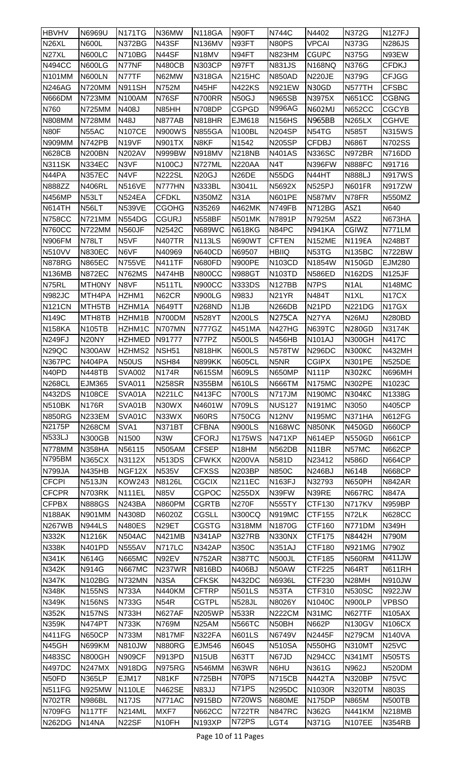| <b>HBVHV</b>       | N6969U              | <b>N171TG</b>      | N36MW              | <b>N118GA</b>      | N90FT              | <b>N744C</b>       | N4402              | <b>N372G</b>       | <b>N127FJ</b>      |
|--------------------|---------------------|--------------------|--------------------|--------------------|--------------------|--------------------|--------------------|--------------------|--------------------|
| N <sub>26</sub> XL | <b>N600L</b>        | <b>N372BG</b>      | N43SF              | <b>N136MV</b>      | N93FT              | N80PS              | <b>VPCAI</b>       | N373G              | <b>N286JS</b>      |
| N27XL              | <b>N600LC</b>       | <b>N710BG</b>      | N44SF              | N18MV              | N94FT              | <b>N823HM</b>      | <b>CGUPC</b>       | <b>N375G</b>       | N93EW              |
| <b>N494CC</b>      | <b>N600LG</b>       | N77NF              | <b>N480CB</b>      | <b>N303CP</b>      | N97FT              | <b>N831JS</b>      | <b>N168NQ</b>      | <b>N376G</b>       | <b>CFDKJ</b>       |
| <b>N101MM</b>      | N600LN              | N77TF              | N62MW              | <b>N318GA</b>      | <b>N215HC</b>      | <b>N850AD</b>      | <b>N220JE</b>      | <b>N379G</b>       | <b>CFJGG</b>       |
| <b>N246AG</b>      | N720MM              | <b>N911SH</b>      | N752M              | N45HF              | <b>N422KS</b>      | <b>N921EW</b>      | N30GD              | N577TH             | <b>CFSBC</b>       |
| N666DM             | N723MM              | <b>N100AM</b>      | N76SF              | N700RR             | N50GJ              | <b>N965SB</b>      | N3975X             | <b>N651CC</b>      | <b>CGBNG</b>       |
| N760               | <b>N725MM</b>       | N408J              | N85HH              | N708DP             | <b>CGPGD</b>       | <b>N996AG</b>      | <b>N602MJ</b>      | <b>N652CC</b>      | <b>CGCYB</b>       |
| <b>N808MM</b>      | <b>N728MM</b>       | <b>N48J</b>        | N877AB             | <b>N818HR</b>      | <b>EJM618</b>      | <b>N156HS</b>      | <b>N965BB</b>      | <b>N265LX</b>      | <b>CGHVE</b>       |
| <b>N80F</b>        | N55AC               | <b>N107CE</b>      | <b>N900WS</b>      | <b>N855GA</b>      | <b>N100BL</b>      | <b>N204SP</b>      | N54TG              | <b>N585T</b>       | <b>N315WS</b>      |
| <b>N909MM</b>      | N742PB              | N <sub>19VF</sub>  | <b>N901TX</b>      | N8KF               | N1542              | <b>N205SP</b>      | <b>CFDBJ</b>       | <b>N686T</b>       | <b>N702SS</b>      |
| <b>N628CB</b>      | <b>N200BN</b>       | <b>N202AV</b>      | <b>N999BW</b>      | <b>N918MV</b>      | <b>N218NB</b>      | <b>N401AS</b>      | <b>N336SC</b>      | N972BR             | N716DD             |
| <b>N311SK</b>      | <b>N334EC</b>       | N3VF               | <b>N100CJ</b>      | N727ML             | <b>N220AA</b>      | N <sub>4</sub> T   | <b>N396FW</b>      | <b>N888FC</b>      | N91716             |
| N44PA              | <b>N357EC</b>       | N4VF               | <b>N222SL</b>      | <b>N20GJ</b>       | N <sub>26</sub> DE | N55DG              | N44HT              | <b>N888LJ</b>      | <b>N917WS</b>      |
| <b>N888ZZ</b>      | <b>N406RL</b>       | <b>N516VE</b>      | N777HN             | <b>N333BL</b>      | N3041L             | N5692X             | <b>N525PJ</b>      | <b>N601FR</b>      | <b>N917ZW</b>      |
| <b>N456MP</b>      | N53LT               | <b>N524EA</b>      | <b>CFDKL</b>       | <b>N350MZ</b>      | <b>N31A</b>        | <b>N601PE</b>      | <b>N587MV</b>      | N78FR              | <b>N550MZ</b>      |
| <b>N614TH</b>      | N56LT               | <b>N539VE</b>      | <b>CGOHG</b>       | N35269             | <b>N462MK</b>      | N749FB             | <b>N712BG</b>      | ASZ1               | N640               |
| <b>N758CC</b>      | <b>N721MM</b>       | <b>N554DG</b>      | <b>CGURJ</b>       | <b>N558BF</b>      | <b>N501MK</b>      | N7891P             | N7925M             | ASZ2               | N673HA             |
| <b>N760CC</b>      | <b>N722MM</b>       | <b>N560JF</b>      | N2542C             | <b>N689WC</b>      | <b>N618KG</b>      | N84PC              | <b>N941KA</b>      | <b>CGIWZ</b>       | N771LM             |
| N906FM             | N78LT               | N5VF               | <b>N407TR</b>      | <b>N113LS</b>      | <b>N690WT</b>      | <b>CFTEN</b>       | <b>N152ME</b>      | <b>N119EA</b>      | <b>N248BT</b>      |
| <b>N510VV</b>      | <b>N830EC</b>       | N6VF               | N40969             | <b>N640CD</b>      | N69507             | <b>HBIIQ</b>       | N53TG              | <b>N135BC</b>      | N722BW             |
| <b>N878RG</b>      | <b>N865EC</b>       | <b>N755VE</b>      | <b>N411TF</b>      | <b>N680FD</b>      | <b>N900PE</b>      | <b>N103CD</b>      | N1854W             | <b>N150GD</b>      | <b>EJM280</b>      |
| <b>N136MB</b>      | <b>N872EC</b>       | <b>N762MS</b>      | N474HB             | <b>N800CC</b>      | <b>N988GT</b>      | <b>N103TD</b>      | <b>N586ED</b>      | <b>N162DS</b>      | <b>N125JF</b>      |
| N75RL              | <b>MTHONY</b>       | N8VF               | <b>N511TL</b>      | <b>N900CC</b>      | <b>N333DS</b>      | <b>N127BB</b>      | N7PS               | N1AL               | <b>N148MC</b>      |
| N982JC             | MTH4PA              | HZHM1              | N62CR              | <b>N900LG</b>      | N983J              | N <sub>21</sub> YR | N484T              | N <sub>1</sub> XL  | N <sub>17</sub> CX |
| <b>N121CN</b>      | MTH <sub>5</sub> TB | HZHM1A             | <b>N649TT</b>      | <b>N268ND</b>      | N <sub>1</sub> JB  | <b>N266DB</b>      | N <sub>21</sub> PD | <b>N221DG</b>      | N <sub>17</sub> GX |
| <b>N149C</b>       | MTH8TB              | HZHM1B             | N700DM             | <b>N528YT</b>      | <b>N200LS</b>      | <b>N275CA</b>      | N27YA              | N <sub>26</sub> MJ | <b>N280BD</b>      |
| N158KA             | <b>N105TB</b>       | HZHM1C             | N707MN             | <b>N777GZ</b>      | <b>N451MA</b>      | <b>N427HG</b>      | <b>N639TC</b>      | <b>N280GD</b>      | N3174K             |
| <b>N249FJ</b>      | N <sub>20</sub> NY  | HZHMED             | N91777             | N77PZ              | <b>N500LS</b>      | <b>N456HB</b>      | <b>N101AJ</b>      | <b>N300GH</b>      | <b>N417C</b>       |
| <b>N29QC</b>       | <b>N300AW</b>       | HZHMS2             | NSH <sub>51</sub>  | <b>N818HK</b>      | <b>N600LS</b>      | <b>N578TW</b>      | <b>N296DC</b>      | <b>N300KC</b>      | <b>N432MH</b>      |
| N367PC             | <b>N404PA</b>       | <b>N50US</b>       | NSH84              | <b>N899KK</b>      | <b>N605CL</b>      | N <sub>5NR</sub>   | <b>CGIPX</b>       | <b>N301PE</b>      | <b>N525DE</b>      |
| N40PD              | <b>N448TB</b>       | <b>SVA002</b>      | <b>N174R</b>       | <b>N615SM</b>      | <b>N609LS</b>      | <b>N650MP</b>      | <b>N111P</b>       | <b>N302KC</b>      | <b>N696MH</b>      |
| <b>N268CL</b>      | <b>EJM365</b>       | <b>SVA011</b>      | <b>N258SR</b>      | <b>N355BM</b>      | <b>N610LS</b>      | <b>N666TM</b>      | <b>N175MC</b>      | <b>N302PE</b>      | N1023C             |
| <b>N432DS</b>      | <b>N108CE</b>       | SVA01A             | <b>N221LC</b>      | <b>N413FC</b>      | <b>N700LS</b>      | <b>N717JM</b>      | <b>N190MC</b>      | <b>N304KC</b>      | N1338G             |
| <b>N510BK</b>      | <b>N176R</b>        | SVA01B             | N30WX              | N4601W             | <b>N709LS</b>      | <b>NUS127</b>      | <b>N191MC</b>      | N3050              | <b>N405CP</b>      |
| <b>N850RG</b>      | <b>N233EM</b>       | SVA01C             | N33WX              | N60RS              | <b>N750CG</b>      | N12NV              | <b>N195MC</b>      | <b>N371HA</b>      | <b>N612FG</b>      |
| N2175P             | <b>N268CM</b>       | SVA1               | <b>N371BT</b>      | <b>CFBNA</b>       | <b>N900LS</b>      | <b>N168WC</b>      | N850NK             | <b>N450GD</b>      | <b>N660CP</b>      |
| <b>N533LJ</b>      | <b>N300GB</b>       | N1500              | N <sub>3</sub> W   | <b>CFORJ</b>       | <b>N175WS</b>      | <b>N471XP</b>      | <b>N614EP</b>      | <b>N550GD</b>      | <b>N661CP</b>      |
| N778MM             | <b>N358HA</b>       | N56115             | <b>N505AM</b>      | <b>CFSEP</b>       | N18HM              | <b>N562DB</b>      | N <sub>1</sub> 1BR | N57MC              | <b>N662CP</b>      |
| <b>N795BM</b>      | <b>N365CX</b>       | N3112X             | <b>N513DS</b>      | <b>CFWKX</b>       | <b>N200VA</b>      | N581D              | N23412             | <b>N586D</b>       | <b>N664CP</b>      |
| <b>N799JA</b>      | <b>N435HB</b>       | NGF12X             | N535V              | <b>CFXSS</b>       | <b>N203BP</b>      | <b>N850C</b>       | <b>N246BJ</b>      | N614B              | <b>N668CP</b>      |
| <b>CFCPI</b>       | <b>N513JN</b>       | <b>KOW243</b>      | N8126L             | <b>CGCIX</b>       | <b>N211EC</b>      | <b>N163FJ</b>      | N32793             | <b>N650PH</b>      | <b>N842AR</b>      |
| <b>CFCPR</b>       | N703RK              | <b>N111EL</b>      | <b>N85V</b>        | <b>CGPOC</b>       | <b>N255DX</b>      | N39FW              | N39RE              | <b>N667RC</b>      | <b>N847A</b>       |
| <b>CFPBX</b>       | <b>N888GS</b>       | <b>N243BA</b>      | <b>N860PM</b>      | <b>CGRTB</b>       | <b>N270F</b>       | <b>N555TY</b>      | CTF130             | <b>N717KV</b>      | <b>N959BP</b>      |
| <b>N188AK</b>      | N901MM              | N4308D             | N6020Z             | <b>CGSLL</b>       | <b>N300CQ</b>      | <b>N919MC</b>      | CTF155             | N72LK              | <b>N628CC</b>      |
| <b>N267WB</b>      | <b>N944LS</b>       | <b>N480ES</b>      | N <sub>29</sub> ET | <b>CGSTG</b>       | N318MM             | N1870G             | CTF160             | N771DM             | <b>N349H</b>       |
| <b>N332K</b>       | N1216K              | <b>N504AC</b>      | <b>N421MB</b>      | <b>N341AP</b>      | <b>N327RB</b>      | N330NX             | CTF175             | N8442H             | N790M              |
| <b>N338K</b>       | <b>N401PD</b>       | <b>N555AV</b>      | <b>N717LC</b>      | <b>N342AP</b>      | N350C              | <b>N351AJ</b>      | CTF180             | <b>N921MG</b>      | N790Z              |
| <b>N341K</b>       | N614G               | <b>N665MC</b>      | N92EV              | <b>N752AR</b>      | <b>N387TC</b>      | <b>N500JL</b>      | CTF185             | <b>N560RM</b>      | <b>N411JW</b>      |
| <b>N342K</b>       | N914G               | <b>N667MC</b>      | <b>N237WR</b>      | <b>N816BD</b>      | N406BJ             | N50AW              | CTF225             | N64RT              | <b>N611RH</b>      |
| <b>N347K</b>       | N102BG              | <b>N732MN</b>      | N3SA               | <b>CFKSK</b>       | <b>N432DC</b>      | N6936L             | CTF230             | N <sub>28</sub> MH | <b>N910JW</b>      |
| <b>N348K</b>       | <b>N155NS</b>       | <b>N733A</b>       | <b>N440KM</b>      | <b>CFTRP</b>       | <b>N501LS</b>      | N <sub>53</sub> TA | CTF310             | <b>N530SC</b>      | <b>N922JW</b>      |
| <b>N349K</b>       | <b>N156NS</b>       | N733G              | <b>N54R</b>        | <b>CGTPL</b>       | <b>N528JL</b>      | N8026Y             | N1040C             | <b>N900LP</b>      | VPBSO              |
| <b>N352K</b>       | <b>N157NS</b>       | <b>N733H</b>       | <b>N627AF</b>      | <b>N205WP</b>      | <b>N533R</b>       | <b>N222CM</b>      | N31MC              | <b>N627TF</b>      | <b>N105AX</b>      |
| <b>N359K</b>       | <b>N474PT</b>       | <b>N733K</b>       | N769M              | N <sub>25</sub> AM | <b>N566TC</b>      | N50BH              | <b>N662P</b>       | <b>N130GV</b>      | N106CX             |
| N411FG             | <b>N650CP</b>       | N733M              | <b>N817MF</b>      | <b>N322FA</b>      | <b>N601LS</b>      | N6749V             | <b>N2445F</b>      | <b>N279CM</b>      | <b>N140VA</b>      |
| N45GH              | <b>N699KM</b>       | <b>N810JW</b>      | <b>N880RG</b>      | <b>EJM546</b>      | <b>N604S</b>       | <b>N510SA</b>      | <b>N550HG</b>      | <b>N310MT</b>      | <b>N25VC</b>       |
| <b>N483SC</b>      | <b>N800GH</b>       | <b>N909CF</b>      | <b>N913PD</b>      | N <sub>15</sub> UB | N63TT              | N67JD              | <b>N294CC</b>      | <b>N341MT</b>      | <b>N505TS</b>      |
| <b>N497DC</b>      | <b>N247MX</b>       | <b>N918DG</b>      | <b>N975RG</b>      | <b>N546MM</b>      | N63WR              | N6HU               | N361G              | N962J              | <b>N520DM</b>      |
| N50FD              | <b>N365LP</b>       | EJM17              | N81KF              | <b>N725BH</b>      | N70PS              | <b>N715CB</b>      | <b>N442TA</b>      | <b>N320BP</b>      | N75VC              |
| <b>N511FG</b>      | <b>N925MW</b>       | <b>N110LE</b>      | <b>N462SE</b>      | <b>N83JJ</b>       | N71PS              | <b>N295DC</b>      | N1030R             | <b>N320TM</b>      | N803S              |
| <b>N702TR</b>      | <b>N986BL</b>       | N <sub>17</sub> JS | <b>N771AC</b>      | <b>N915BD</b>      | <b>N720WS</b>      | <b>N680ME</b>      | <b>N175DP</b>      | <b>N865M</b>       | <b>N500TB</b>      |
| N709FG             | <b>N117TF</b>       | <b>N214ML</b>      | MXF7               | <b>N662CC</b>      | <b>N722TR</b>      | <b>N847RC</b>      | N362G              | <b>N441KM</b>      | <b>N218MB</b>      |
| <b>N262DG</b>      | N <sub>14</sub> NA  | N22SF              | N <sub>10FH</sub>  | <b>N193XP</b>      | N72PS              | LGT4               | N371G              | <b>N107EE</b>      | <b>N354RB</b>      |